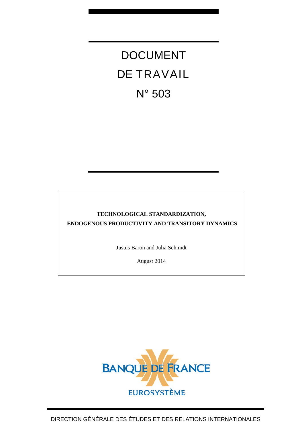DOCUMENT DE TRAVAIL N° 503

## **TECHNOLOGICAL STANDARDIZATION, ENDOGENOUS PRODUCTIVITY AND TRANSITORY DYNAMICS**

Justus Baron and Julia Schmidt

August 2014

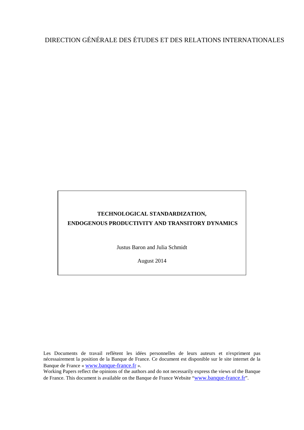## DIRECTION GÉNÉRALE DES ÉTUDES ET DES RELATIONS INTERNATIONALES

### **TECHNOLOGICAL STANDARDIZATION, ENDOGENOUS PRODUCTIVITY AND TRANSITORY DYNAMICS**

Justus Baron and Julia Schmidt

August 2014

Les Documents de travail reflètent les idées personnelles de leurs auteurs et n'expriment pas nécessairement la position de la Banque de France. Ce document est disponible sur le site internet de la Banque de France « [www.banque-france.fr](http://www.banque-france.fr/) ».

Working Papers reflect the opinions of the authors and do not necessarily express the views of the Banque de France. This document is available on the Banque de France Website ["www.banque-france.fr"](http://www.banque-france.fr/).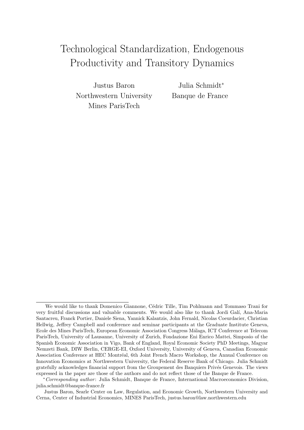# Technological Standardization, Endogenous Productivity and Transitory Dynamics

Justus Baron Northwestern University Mines ParisTech

Julia Schmidt<sup>∗</sup> Banque de France

We would like to thank Domenico Giannone, Cédric Tille, Tim Pohlmann and Tommaso Trani for very fruitful discussions and valuable comments. We would also like to thank Jordi Gal´ı, Ana-Maria Santacreu, Franck Portier, Daniele Siena, Yannick Kalantzis, John Fernald, Nicolas Coeurdacier, Christian Hellwig, Jeffrey Campbell and conference and seminar participants at the Graduate Institute Geneva, Ecole des Mines ParisTech, European Economic Association Congress M´alaga, ICT Conference at Telecom ParisTech, University of Lausanne, University of Zurich, Fondazione Eni Enrico Mattei, Simposio of the Spanish Economic Association in Vigo, Bank of England, Royal Economic Society PhD Meetings, Magyar Nemzeti Bank, DIW Berlin, CERGE-EI, Oxford University, University of Geneva, Canadian Economic Association Conference at HEC Montréal, 6th Joint French Macro Workshop, the Annual Conference on Innovation Economics at Northwestern University, the Federal Reserve Bank of Chicago. Julia Schmidt gratefully acknowledges financial support from the Groupement des Banquiers Privés Genevois. The views expressed in the paper are those of the authors and do not reflect those of the Banque de France.

<sup>∗</sup>Corresponding author : Julia Schmidt, Banque de France, International Macroeconomics Division, julia.schmidt@banque-france.fr

Justus Baron, Searle Center on Law, Regulation, and Economic Growth, Northwestern University and Cerna, Center of Industrial Economics, MINES ParisTech, justus.baron@law.northwestern.edu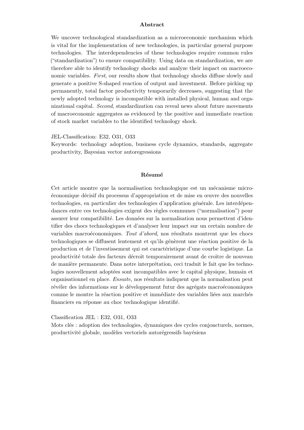#### Abstract

We uncover technological standardization as a microeconomic mechanism which is vital for the implementation of new technologies, in particular general purpose technologies. The interdependencies of these technologies require common rules ("standardization") to ensure compatibility. Using data on standardization, we are therefore able to identify technology shocks and analyze their impact on macroeconomic variables. First, our results show that technology shocks diffuse slowly and generate a positive S-shaped reaction of output and investment. Before picking up permanently, total factor productivity temporarily decreases, suggesting that the newly adopted technology is incompatible with installed physical, human and organizational capital. Second, standardization can reveal news about future movements of macroeconomic aggregates as evidenced by the positive and immediate reaction of stock market variables to the identified technology shock.

JEL-Classification: E32, O31, O33

Keywords: technology adoption, business cycle dynamics, standards, aggregate productivity, Bayesian vector autoregressions

#### Résumé

Cet article montre que la normalisation technologique est un mécanisme micro-´economique d´ecisif du processus d'appropriation et de mise en œuvre des nouvelles technologies, en particulier des technologies d'application générale. Les interdépendances entre ces technologies exigent des règles communes ("normalisation") pour assurer leur compatibilité. Les données sur la normalisation nous permettent d'identifier des chocs technologiques et d'analyser leur impact sur un certain nombre de variables macroéconomiques. Tout d'abord, nos résultats montrent que les chocs technologiques se diffusent lentement et qu'ils génèrent une réaction positive de la production et de l'investissement qui est caractéristique d'une courbe logistique. La productivité totale des facteurs décroît temporairement avant de croître de nouveau de manière permanente. Dans notre interprétation, ceci traduit le fait que les technologies nouvellement adoptées sont incompatibles avec le capital physique, humain et organisationnel en place. Ensuite, nos r´esultats indiquent que la normalisation peut révéler des informations sur le développement futur des agrégats macroéconomiques comme le montre la réaction positive et immédiate des variables liées aux marchés financiers en réponse au choc technologique identifié.

Classification JEL : E32, O31, O33

Mots clés : adoption des technologies, dynamiques des cycles conjoncturels, normes, productivité globale, modèles vectoriels autorégressifs bayésiens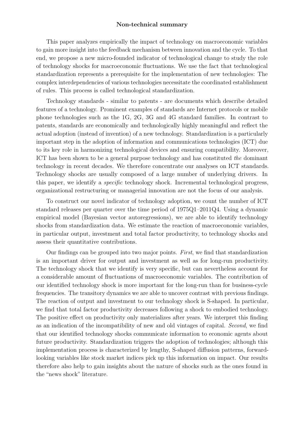#### Non-technical summary

This paper analyzes empirically the impact of technology on macroeconomic variables to gain more insight into the feedback mechanism between innovation and the cycle. To that end, we propose a new micro-founded indicator of technological change to study the role of technology shocks for macroeconomic fluctuations. We use the fact that technological standardization represents a prerequisite for the implementation of new technologies: The complex interdependencies of various technologies necessitate the coordinated establishment of rules. This process is called technological standardization.

Technology standards - similar to patents - are documents which describe detailed features of a technology. Prominent examples of standards are Internet protocols or mobile phone technologies such as the 1G, 2G, 3G and 4G standard families. In contrast to patents, standards are economically and technologically highly meaningful and reflect the actual adoption (instead of invention) of a new technology. Standardization is a particularly important step in the adoption of information and communications technologies (ICT) due to its key role in harmonizing technological devices and ensuring compatibility. Moreover, ICT has been shown to be a general purpose technology and has constituted the dominant technology in recent decades. We therefore concentrate our analyses on ICT standards. Technology shocks are usually composed of a large number of underlying drivers. In this paper, we identify a specific technology shock. Incremental technological progress, organizational restructuring or managerial innovation are not the focus of our analysis.

To construct our novel indicator of technology adoption, we count the number of ICT standard releases per quarter over the time period of 1975Q1–2011Q4. Using a dynamic empirical model (Bayesian vector autoregressions), we are able to identify technology shocks from standardization data. We estimate the reaction of macroeconomic variables, in particular output, investment and total factor productivity, to technology shocks and assess their quantitative contributions.

Our findings can be grouped into two major points. First, we find that standardization is an important driver for output and investment as well as for long-run productivity. The technology shock that we identify is very specific, but can nevertheless account for a considerable amount of fluctuations of macroeconomic variables. The contribution of our identified technology shock is more important for the long-run than for business-cycle frequencies. The transitory dynamics we are able to uncover contrast with previous findings. The reaction of output and investment to our technology shock is S-shaped. In particular, we find that total factor productivity decreases following a shock to embodied technology. The positive effect on productivity only materializes after years. We interpret this finding as an indication of the incompatibility of new and old vintages of capital. Second, we find that our identified technology shocks communicate information to economic agents about future productivity. Standardization triggers the adoption of technologies; although this implementation process is characterized by lengthy, S-shaped diffusion patterns, forwardlooking variables like stock market indices pick up this information on impact. Our results therefore also help to gain insights about the nature of shocks such as the ones found in the "news shock" literature.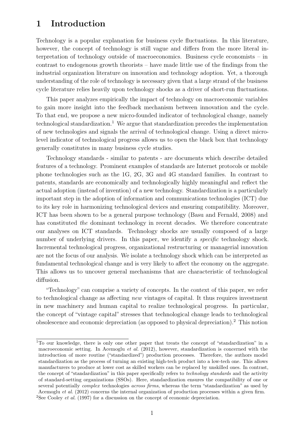## 1 Introduction

Technology is a popular explanation for business cycle fluctuations. In this literature, however, the concept of technology is still vague and differs from the more literal interpretation of technology outside of macroeconomics. Business cycle economists – in contrast to endogenous growth theorists – have made little use of the findings from the industrial organization literature on innovation and technology adoption. Yet, a thorough understanding of the role of technology is necessary given that a large strand of the business cycle literature relies heavily upon technology shocks as a driver of short-run fluctuations.

This paper analyzes empirically the impact of technology on macroeconomic variables to gain more insight into the feedback mechanism between innovation and the cycle. To that end, we propose a new micro-founded indicator of technological change, namely technological standardization.<sup>[1](#page-5-0)</sup> We argue that standardization precedes the implementation of new technologies and signals the arrival of technological change. Using a direct microlevel indicator of technological progress allows us to open the black box that technology generally constitutes in many business cycle studies.

Technology standards - similar to patents - are documents which describe detailed features of a technology. Prominent examples of standards are Internet protocols or mobile phone technologies such as the 1G, 2G, 3G and 4G standard families. In contrast to patents, standards are economically and technologically highly meaningful and reflect the actual adoption (instead of invention) of a new technology. Standardization is a particularly important step in the adoption of information and communications technologies (ICT) due to its key role in harmonizing technological devices and ensuring compatibility. Moreover, ICT has been shown to be a general purpose technology [\(Basu and Fernald,](#page-50-0) [2008\)](#page-50-0) and has constituted the dominant technology in recent decades. We therefore concentrate our analyses on ICT standards. Technology shocks are usually composed of a large number of underlying drivers. In this paper, we identify a *specific* technology shock. Incremental technological progress, organizational restructuring or managerial innovation are not the focus of our analysis. We isolate a technology shock which can be interpreted as fundamental technological change and is very likely to affect the economy on the aggregate. This allows us to uncover general mechanisms that are characteristic of technological diffusion.

"Technology" can comprise a variety of concepts. In the context of this paper, we refer to technological change as affecting new vintages of capital. It thus requires investment in new machinery and human capital to realize technological progress. In particular, the concept of "vintage capital" stresses that technological change leads to technological obsolescence and economic depreciation (as opposed to physical depreciation).[2](#page-5-1) This notion

<span id="page-5-1"></span><span id="page-5-0"></span><sup>&</sup>lt;sup>1</sup>To our knowledge, there is only one other paper that treats the concept of "standardization" in a macroeconomic setting. In [Acemoglu](#page-50-1) *et al.* [\(2012\)](#page-50-1), however, standardization is concerned with the introduction of more routine ("standardized") production processes. Therefore, the authors model standardization as the process of turning an existing high-tech product into a low-tech one. This allows manufacturers to produce at lower cost as skilled workers can be replaced by unskilled ones. In contrast, the concept of "standardization" in this paper specifically refers to *technology standards* and the activity of standard-setting organizations (SSOs). Here, standardization ensures the compatibility of one or several potentially *complex* technologies *across firms*, whereas the term "standardization" as used by [Acemoglu](#page-50-1) et al. [\(2012\)](#page-50-1) concerns the internal organization of production processes within a given firm. <sup>2</sup>See [Cooley](#page-51-0) *et al.* [\(1997\)](#page-51-0) for a discussion on the concept of economic depreciation.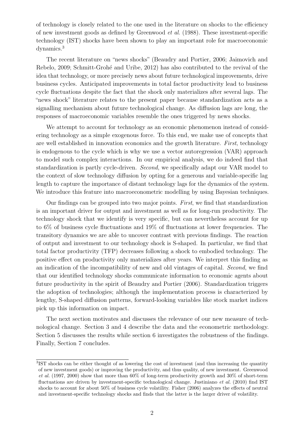of technology is closely related to the one used in the literature on shocks to the efficiency of new investment goods as defined by [Greenwood](#page-52-0) et al. [\(1988\)](#page-52-0). These investment-specific technology (IST) shocks have been shown to play an important role for macroeconomic dynamics.[3](#page-6-0)

The recent literature on "news shocks" [\(Beaudry and Portier,](#page-50-2) [2006;](#page-50-2) [Jaimovich and](#page-53-0) [Rebelo,](#page-53-0) [2009;](#page-53-0) Schmitt-Grohé and Uribe, [2012\)](#page-54-0) has also contributed to the revival of the idea that technology, or more precisely news about future technological improvements, drive business cycles. Anticipated improvements in total factor productivity lead to business cycle fluctuations despite the fact that the shock only materializes after several lags. The "news shock" literature relates to the present paper because standardization acts as a signalling mechanism about future technological change. As diffusion lags are long, the responses of macroeconomic variables resemble the ones triggered by news shocks.

We attempt to account for technology as an economic phenomenon instead of considering technology as a simple exogenous force. To this end, we make use of concepts that are well established in innovation economics and the growth literature. First, technology is endogenous to the cycle which is why we use a vector autoregression (VAR) approach to model such complex interactions. In our empirical analysis, we do indeed find that standardization is partly cycle-driven. Second, we specifically adapt our VAR model to the context of slow technology diffusion by opting for a generous and variable-specific lag length to capture the importance of distant technology lags for the dynamics of the system. We introduce this feature into macroeconometric modelling by using Bayesian techniques.

Our findings can be grouped into two major points. First, we find that standardization is an important driver for output and investment as well as for long-run productivity. The technology shock that we identify is very specific, but can nevertheless account for up to 6% of business cycle fluctuations and 19% of fluctuations at lower frequencies. The transitory dynamics we are able to uncover contrast with previous findings. The reaction of output and investment to our technology shock is S-shaped. In particular, we find that total factor productivity (TFP) decreases following a shock to embodied technology. The positive effect on productivity only materializes after years. We interpret this finding as an indication of the incompatibility of new and old vintages of capital. Second, we find that our identified technology shocks communicate information to economic agents about future productivity in the spirit of [Beaudry and Portier](#page-50-2) [\(2006\)](#page-50-2). Standardization triggers the adoption of technologies; although the implementation process is characterized by lengthy, S-shaped diffusion patterns, forward-looking variables like stock market indices pick up this information on impact.

The next section motivates and discusses the relevance of our new measure of technological change. Section [3](#page-12-0) and [4](#page-15-0) describe the data and the econometric methodology. Section [5](#page-18-0) discusses the results while section [6](#page-29-0) investigates the robustness of the findings. Finally, Section [7](#page-38-0) concludes.

<span id="page-6-0"></span><sup>&</sup>lt;sup>3</sup>IST shocks can be either thought of as lowering the cost of investment (and thus increasing the quantity of new investment goods) or improving the productivity, and thus quality, of new investment. [Greenwood](#page-52-1) [et al.](#page-52-1) [\(1997,](#page-52-1) [2000\)](#page-52-2) show that more than 60% of long-term productivity growth and 30% of short-term fluctuations are driven by investment-specific technological change. [Justiniano](#page-53-1) et al. [\(2010\)](#page-53-1) find IST shocks to account for about 50% of business cycle volatility. [Fisher](#page-51-1) [\(2006\)](#page-51-1) analyzes the effects of neutral and investment-specific technology shocks and finds that the latter is the larger driver of volatility.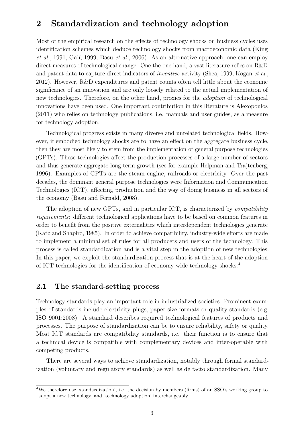### 2 Standardization and technology adoption

Most of the empirical research on the effects of technology shocks on business cycles uses identification schemes which deduce technology shocks from macroeconomic data [\(King](#page-53-2) [et al.](#page-50-3), [1991;](#page-53-2) Galí, [1999;](#page-52-3) Basu et al., [2006\)](#page-50-3). As an alternative approach, one can employ direct measures of technological change. One the one hand, a vast literature relies on R&D and patent data to capture direct indicators of inventive activity [\(Shea,](#page-54-1) [1999;](#page-54-1) [Kogan](#page-53-3) et al., [2012\)](#page-53-3). However, R&D expenditures and patent counts often tell little about the economic significance of an innovation and are only loosely related to the actual implementation of new technologies. Therefore, on the other hand, proxies for the adoption of technological innovations have been used. One important contribution in this literature is [Alexopoulos](#page-50-4) [\(2011\)](#page-50-4) who relies on technology publications, i.e. manuals and user guides, as a measure for technology adoption.

Technological progress exists in many diverse and unrelated technological fields. However, if embodied technology shocks are to have an effect on the aggregate business cycle, then they are most likely to stem from the implementation of general purpose technologies (GPTs). These technologies affect the production processes of a large number of sectors and thus generate aggregate long-term growth (see for example [Helpman and Trajtenberg,](#page-52-4) [1996\)](#page-52-4). Examples of GPTs are the steam engine, railroads or electricity. Over the past decades, the dominant general purpose technologies were Information and Communication Technologies (ICT), affecting production and the way of doing business in all sectors of the economy [\(Basu and Fernald,](#page-50-0) [2008\)](#page-50-0).

The adoption of new GPTs, and in particular ICT, is characterized by compatibility requirements: different technological applications have to be based on common features in order to benefit from the positive externalities which interdependent technologies generate [\(Katz and Shapiro,](#page-53-4) [1985\)](#page-53-4). In order to achieve compatibility, industry-wide efforts are made to implement a minimal set of rules for all producers and users of the technology. This process is called standardization and is a vital step in the adoption of new technologies. In this paper, we exploit the standardization process that is at the heart of the adoption of ICT technologies for the identification of economy-wide technology shocks.[4](#page-7-0)

#### 2.1 The standard-setting process

Technology standards play an important role in industrialized societies. Prominent examples of standards include electricity plugs, paper size formats or quality standards (e.g. ISO 9001:2008). A standard describes required technological features of products and processes. The purpose of standardization can be to ensure reliability, safety or quality. Most ICT standards are compatibility standards, i.e. their function is to ensure that a technical device is compatible with complementary devices and inter-operable with competing products.

There are several ways to achieve standardization, notably through formal standardization (voluntary and regulatory standards) as well as de facto standardization. Many

<span id="page-7-0"></span><sup>4</sup>We therefore use 'standardization', i.e. the decision by members (firms) of an SSO's working group to adopt a new technology, and 'technology adoption' interchangeably.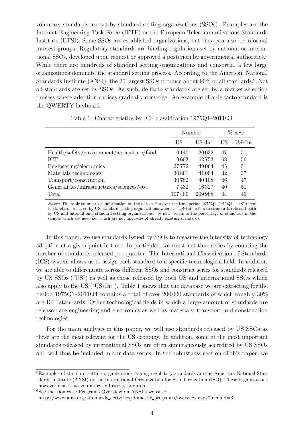voluntary standards are set by standard setting organizations (SSOs). Examples are the Internet Engineering Task Force (IETF) or the European Telecommunications Standards Institute (ETSI). Some SSOs are established organizations, but they can also be informal interest groups. Regulatory standards are binding regulations set by national or interna-tional SSOs, developed upon request or approved a posteriori by governmental authorities.<sup>[5](#page-8-0)</sup> While there are hundreds of standard setting organizations and consortia, a few large organizations dominate the standard setting process. According to the American National Standards Institute (ANSI), the 20 largest SSOs produce about  $90\%$  of all standards.<sup>[6](#page-8-1)</sup> Not all standards are set by SSOs. As such, de facto standards are set by a market selection process where adoption choices gradually converge. An example of a de facto standard is the QWERTY keyboard.

<span id="page-8-2"></span>

| Number |          | $\%$ new |          |
|--------|----------|----------|----------|
| US     | $US+Int$ | US       | $US+Int$ |
| 10140  | 20 0 32  | 47       | 51       |
| 9603   | 62753    | 68       | 56       |
| 27772  | 49064    | 45       | 51       |
| 30801  | 41 004   | 32       | 37       |
| 30782  | 40 108   | 46       | 47       |
| 7432   | 16327    | 40       | 51       |
| 107480 | 209988   | 44       | 49       |
|        |          |          |          |

Table 1: Characteristics by ICS classification 1975Q1–2011Q4

Notes: The table summarizes information on the data series over the time period 1975Q1–2011Q4. "US" refers to standards released by US standard setting organizations whereas "US+Int" refers to standards released both by US and international standard setting organizations. "% new" refers to the percentage of standards in the sample which are new, i.e. which are not upgrades of already existing standards.

In this paper, we use standards issued by SSOs to measure the intensity of technology adoption at a given point in time. In particular, we construct time series by counting the number of standards released per quarter. The International Classification of Standards (ICS) system allows us to assign each standard to a specific technological field. In addition, we are able to differentiate across different SSOs and construct series for standards released by US SSOs ("US") as well as those released by both US and international SSOs which also apply to the US ("US+Int"). Table [1](#page-8-2) shows that the database we are extracting for the period 1975Q1–2011Q4 contains a total of over 200 000 standards of which roughly 30% are ICT standards. Other technological fields in which a large amount of standards are released are engineering and electronics as well as materials, transport and construction technologies.

For the main analysis in this paper, we will use standards released by US SSOs as these are the most relevant for the US economy. In addition, some of the most important standards released by international SSOs are often simultaneously accredited by US SSOs and will thus be included in our data series. In the robustness section of this paper, we

<span id="page-8-0"></span><sup>5</sup>Examples of standard setting organizations issuing regulatory standards are the American National Standards Institute (ANSI) or the International Organization for Standardization (ISO). These organizations however also issue voluntary industry standards.

<span id="page-8-1"></span><sup>6</sup>See the Domestic Programs Overview on ANSI's website:

http://www.ansi.org/standards activities/domestic [programs/overview.aspx?menuid=3](http://www.ansi.org/standards_activities/domestic_programs/overview.aspx?menuid=3)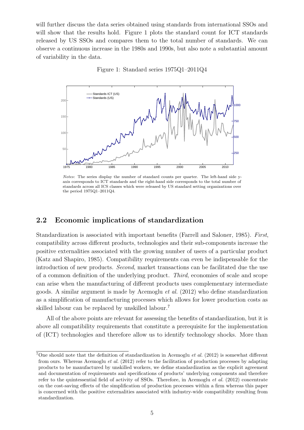will further discuss the data series obtained using standards from international SSOs and will show that the results hold. Figure [1](#page-9-0) plots the standard count for ICT standards released by US SSOs and compares them to the total number of standards. We can observe a continuous increase in the 1980s and 1990s, but also note a substantial amount of variability in the data.

<span id="page-9-0"></span>

Figure 1: Standard series 1975Q1–2011Q4

Notes: The series display the number of standard counts per quarter. The left-hand side yaxis corresponds to ICT standards and the right-hand side corresponds to the total number of standards across all ICS classes which were released by US standard setting organizations over the period 1975Q1–2011Q4.

### 2.2 Economic implications of standardization

Standardization is associated with important benefits [\(Farrell and Saloner,](#page-51-2) [1985\)](#page-51-2). First, compatibility across different products, technologies and their sub-components increase the positive externalities associated with the growing number of users of a particular product [\(Katz and Shapiro,](#page-53-4) [1985\)](#page-53-4). Compatibility requirements can even be indispensable for the introduction of new products. Second, market transactions can be facilitated due the use of a common definition of the underlying product. Third, economies of scale and scope can arise when the manufacturing of different products uses complementary intermediate goods. A similar argument is made by [Acemoglu](#page-50-1) *et al.* [\(2012\)](#page-50-1) who define standardization as a simplification of manufacturing processes which allows for lower production costs as skilled labour can be replaced by unskilled labour.<sup>[7](#page-9-1)</sup>

All of the above points are relevant for assessing the benefits of standardization, but it is above all compatibility requirements that constitute a prerequisite for the implementation of (ICT) technologies and therefore allow us to identify technology shocks. More than

<span id="page-9-1"></span><sup>&</sup>lt;sup>7</sup>One should note that the definition of standardization in [Acemoglu](#page-50-1) *et al.* [\(2012\)](#page-50-1) is somewhat different from ours. Whereas [Acemoglu](#page-50-1) et al. [\(2012\)](#page-50-1) refer to the facilitation of production processes by adapting products to be manufactured by unskilled workers, we define standardization as the explicit agreement and documentation of requirements and specifications of products' underlying components and therefore refer to the quintessential field of activity of SSOs. Therefore, in [Acemoglu](#page-50-1) et al. [\(2012\)](#page-50-1) concentrate on the cost-saving effects of the simplification of production processes within a firm whereas this paper is concerned with the positive externalities associated with industry-wide compatibility resulting from standardization.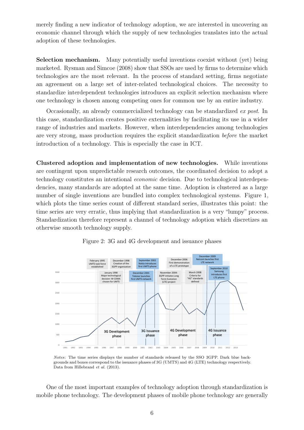merely finding a new indicator of technology adoption, we are interested in uncovering an economic channel through which the supply of new technologies translates into the actual adoption of these technologies.

Selection mechanism. Many potentially useful inventions coexist without (yet) being marketed. [Rysman and Simcoe](#page-54-2) [\(2008\)](#page-54-2) show that SSOs are used by firms to determine which technologies are the most relevant. In the process of standard setting, firms negotiate an agreement on a large set of inter-related technological choices. The necessity to standardize interdependent technologies introduces an explicit selection mechanism where one technology is chosen among competing ones for common use by an entire industry.

Occasionally, an already commercialized technology can be standardized ex post. In this case, standardization creates positive externalities by facilitating its use in a wider range of industries and markets. However, when interdependencies among technologies are very strong, mass production requires the explicit standardization before the market introduction of a technology. This is especially the case in ICT.

Clustered adoption and implementation of new technologies. While inventions are contingent upon unpredictable research outcomes, the coordinated decision to adopt a technology constitutes an intentional economic decision. Due to technological interdependencies, many standards are adopted at the same time. Adoption is clustered as a large number of single inventions are bundled into complex technological systems. Figure [1,](#page-9-0) which plots the time series count of different standard series, illustrates this point: the time series are very erratic, thus implying that standardization is a very "lumpy" process. Standardization therefore represent a channel of technology adoption which discretizes an otherwise smooth technology supply.

<span id="page-10-0"></span>

Figure 2: 3G and 4G development and issuance phases

Notes: The time series displays the number of standards released by the SSO 3GPP. Dark blue backgrounds and boxes correspond to the issuance phases of 3G (UMTS) and 4G (LTE) technology respectively. Data from [Hillebrand](#page-53-5) et al. [\(2013\)](#page-53-5).

One of the most important examples of technology adoption through standardization is mobile phone technology. The development phases of mobile phone technology are generally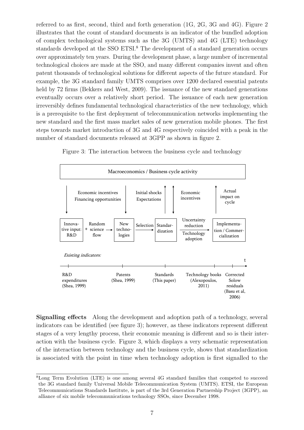referred to as first, second, third and forth generation (1G, 2G, 3G and 4G). Figure [2](#page-10-0) illustrates that the count of standard documents is an indicator of the bundled adoption of complex technological systems such as the 3G (UMTS) and 4G (LTE) technology standards developed at the SSO ETSI.<sup>[8](#page-11-0)</sup> The development of a standard generation occurs over approximately ten years. During the development phase, a large number of incremental technological choices are made at the SSO, and many different companies invent and often patent thousands of technological solutions for different aspects of the future standard. For example, the 3G standard family UMTS comprises over 1200 declared essential patents held by 72 firms [\(Bekkers and West,](#page-50-5) [2009\)](#page-50-5). The issuance of the new standard generations eventually occurs over a relatively short period. The issuance of each new generation irreversibly defines fundamental technological characteristics of the new technology, which is a prerequisite to the first deployment of telecommunication networks implementing the new standard and the first mass market sales of new generation mobile phones. The first steps towards market introduction of 3G and 4G respectively coincided with a peak in the number of standard documents released at 3GPP as shown in figure [2.](#page-10-0)

<span id="page-11-1"></span>

Figure 3: The interaction between the business cycle and technology

Signalling effects Along the development and adoption path of a technology, several indicators can be identified (see figure [3\)](#page-11-1); however, as these indicators represent different stages of a very lengthy process, their economic meaning is different and so is their interaction with the business cycle. Figure [3,](#page-11-1) which displays a very schematic representation of the interaction between technology and the business cycle, shows that standardization is associated with the point in time when technology adoption is first signalled to the

<span id="page-11-0"></span><sup>8</sup>Long Term Evolution (LTE) is one among several 4G standard families that competed to succeed the 3G standard family Universal Mobile Telecommunication System (UMTS). ETSI, the European Telecommunications Standards Institute, is part of the 3rd Generation Partnership Project (3GPP), an alliance of six mobile telecommunications technology SSOs, since December 1998.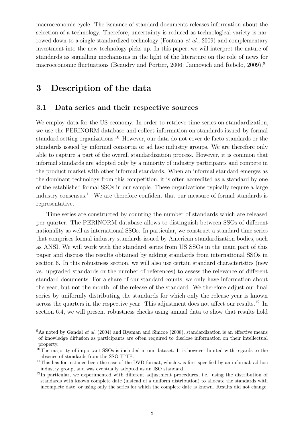macroeconomic cycle. The issuance of standard documents releases information about the selection of a technology. Therefore, uncertainty is reduced as technological variety is nar-rowed down to a single standardized technology [\(Fontana](#page-51-3) *et al.*, [2009\)](#page-51-3) and complementary investment into the new technology picks up. In this paper, we will interpret the nature of standards as signalling mechanisms in the light of the literature on the role of news for macroeconomic fluctuations [\(Beaudry and Portier,](#page-50-2) [2006;](#page-50-2) [Jaimovich and Rebelo,](#page-53-0) [2009\)](#page-53-0).<sup>[9](#page-12-1)</sup>

## <span id="page-12-0"></span>3 Description of the data

#### 3.1 Data series and their respective sources

We employ data for the US economy. In order to retrieve time series on standardization, we use the PERINORM database and collect information on standards issued by formal standard setting organizations.[10](#page-12-2) However, our data do not cover de facto standards or the standards issued by informal consortia or ad hoc industry groups. We are therefore only able to capture a part of the overall standardization process. However, it is common that informal standards are adopted only by a minority of industry participants and compete in the product market with other informal standards. When an informal standard emerges as the dominant technology from this competition, it is often accredited as a standard by one of the established formal SSOs in our sample. These organizations typically require a large industry consensus.[11](#page-12-3) We are therefore confident that our measure of formal standards is representative.

Time series are constructed by counting the number of standards which are released per quarter. The PERINORM database allows to distinguish between SSOs of different nationality as well as international SSOs. In particular, we construct a standard time series that comprises formal industry standards issued by American standardization bodies, such as ANSI. We will work with the standard series from US SSOs in the main part of this paper and discuss the results obtained by adding standards from international SSOs in section [6.](#page-29-0) In this robustness section, we will also use certain standard characteristics (new vs. upgraded standards or the number of references) to assess the relevance of different standard documents. For a share of our standard counts, we only have information about the year, but not the month, of the release of the standard. We therefore adjust our final series by uniformly distributing the standards for which only the release year is known across the quarters in the respective year. This adjustment does not affect our results.<sup>[12](#page-12-4)</sup> In section [6.4,](#page-35-0) we will present robustness checks using annual data to show that results hold

<span id="page-12-1"></span> $9$ As noted by [Gandal](#page-52-5) *et al.* [\(2004\)](#page-52-5) and [Rysman and Simcoe](#page-54-2) [\(2008\)](#page-54-2), standardization is an effective means of knowledge diffusion as participants are often required to disclose information on their intellectual property.

<span id="page-12-2"></span> $10$ The majority of important SSOs is included in our dataset. It is however limited with regards to the absence of standards from the SSO IETF.

<span id="page-12-3"></span><sup>&</sup>lt;sup>11</sup>This has for instance been the case of the DVD format, which was first specified by an informal, ad-hoc industry group, and was eventually adopted as an ISO standard.

<span id="page-12-4"></span><sup>&</sup>lt;sup>12</sup>In particular, we experimented with different adjustment procedures, i.e. using the distribution of standards with known complete date (instead of a uniform distribution) to allocate the standards with incomplete date, or using only the series for which the complete date is known. Results did not change.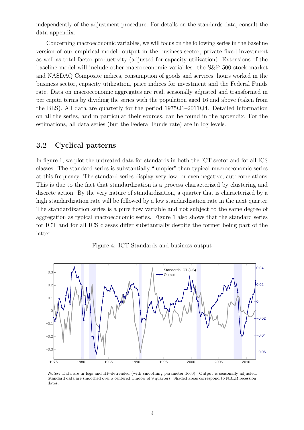independently of the adjustment procedure. For details on the standards data, consult the data appendix.

Concerning macroeconomic variables, we will focus on the following series in the baseline version of our empirical model: output in the business sector, private fixed investment as well as total factor productivity (adjusted for capacity utilization). Extensions of the baseline model will include other macroeconomic variables: the S&P 500 stock market and NASDAQ Composite indices, consumption of goods and services, hours worked in the business sector, capacity utilization, price indices for investment and the Federal Funds rate. Data on macroeconomic aggregates are real, seasonally adjusted and transformed in per capita terms by dividing the series with the population aged 16 and above (taken from the BLS). All data are quarterly for the period 1975Q1–2011Q4. Detailed information on all the series, and in particular their sources, can be found in the appendix. For the estimations, all data series (but the Federal Funds rate) are in log levels.

#### <span id="page-13-1"></span>3.2 Cyclical patterns

In figure [1,](#page-9-0) we plot the untreated data for standards in both the ICT sector and for all ICS classes. The standard series is substantially "lumpier" than typical macroeconomic series at this frequency. The standard series display very low, or even negative, autocorrelations. This is due to the fact that standardization is a process characterized by clustering and discrete action. By the very nature of standardization, a quarter that is characterized by a high standardization rate will be followed by a low standardization rate in the next quarter. The standardization series is a pure flow variable and not subject to the same degree of aggregation as typical macroeconomic series. Figure [1](#page-9-0) also shows that the standard series for ICT and for all ICS classes differ substantially despite the former being part of the latter.



<span id="page-13-0"></span>

Notes: Data are in logs and HP-detrended (with smoothing parameter 1600). Output is seasonally adjusted. Standard data are smoothed over a centered window of 9 quarters. Shaded areas correspond to NBER recession dates.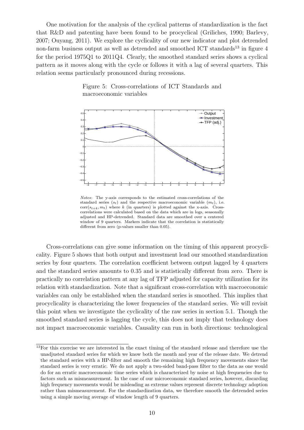One motivation for the analysis of the cyclical patterns of standardization is the fact that R&D and patenting have been found to be procyclical [\(Griliches,](#page-52-6) [1990;](#page-52-6) [Barlevy,](#page-50-6) [2007;](#page-50-6) [Ouyang,](#page-54-3) [2011\)](#page-54-3). We explore the cyclicality of our new indicator and plot detrended non-farm business output as well as detrended and smoothed ICT standards<sup>[13](#page-14-0)</sup> in figure  $4$ for the period 1975Q1 to 2011Q4. Clearly, the smoothed standard series shows a cyclical pattern as it moves along with the cycle or follows it with a lag of several quarters. This relation seems particularly pronounced during recessions.

> Figure 5: Cross-correlations of ICT Standards and macroeconomic variables

<span id="page-14-1"></span>

Notes: The y-axis corresponds to the estimated cross-correlations of the standard series  $(s_t)$  and the respective macroeconomic variable  $(m_t)$ , i.e.  $corr(s_{t+k}, m_t)$  where k (in quarters) is plotted against the x-axis. Crosscorrelations were calculated based on the data which are in logs, seasonally adjusted and HP-detrended. Standard data are smoothed over a centered window of 9 quarters. Markers indicate that the correlation is statistically different from zero (p-values smaller than 0.05).

Cross-correlations can give some information on the timing of this apparent procyclicality. Figure [5](#page-14-1) shows that both output and investment lead our smoothed standardization series by four quarters. The correlation coefficient between output lagged by 4 quarters and the standard series amounts to 0.35 and is statistically different from zero. There is practically no correlation pattern at any lag of TFP adjusted for capacity utilization for its relation with standardization. Note that a significant cross-correlation with macroeconomic variables can only be established when the standard series is smoothed. This implies that procyclicality is characterizing the lower frequencies of the standard series. We will revisit this point when we investigate the cyclicality of the raw series in section [5.1.](#page-18-1) Though the smoothed standard series is lagging the cycle, this does not imply that technology does not impact macroeconomic variables. Causality can run in both directions: technological

<span id="page-14-0"></span><sup>13</sup>For this exercise we are interested in the exact timing of the standard release and therefore use the unadjusted standard series for which we know both the month and year of the release date. We detrend the standard series with a HP-filter and smooth the remaining high frequency movements since the standard series is very erratic. We do not apply a two-sided band-pass filter to the data as one would do for an erratic macroeconomic time series which is characterized by noise at high frequencies due to factors such as mismeasurement. In the case of our microeconomic standard series, however, discarding high frequency movements would be misleading as extreme values represent discrete technology adoption rather than mismeasurement. For the standardization data, we therefore smooth the detrended series using a simple moving average of window length of 9 quarters.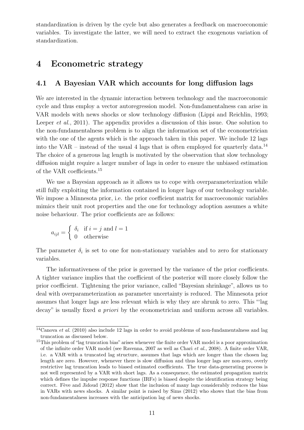standardization is driven by the cycle but also generates a feedback on macroeconomic variables. To investigate the latter, we will need to extract the exogenous variation of standardization.

## <span id="page-15-0"></span>4 Econometric strategy

### <span id="page-15-3"></span>4.1 A Bayesian VAR which accounts for long diffusion lags

We are interested in the dynamic interaction between technology and the macroeconomic cycle and thus employ a vector autoregression model. Non-fundamentalness can arise in VAR models with news shocks or slow technology diffusion [\(Lippi and Reichlin,](#page-53-6) [1993;](#page-53-6) [Leeper](#page-53-7) *et al.*, [2011\)](#page-53-7). The appendix provides a discussion of this issue. One solution to the non-fundamentalness problem is to align the information set of the econometrician with the one of the agents which is the approach taken in this paper. We include 12 lags into the VAR – instead of the usual 4 lags that is often employed for quarterly data.<sup>[14](#page-15-1)</sup> The choice of a generous lag length is motivated by the observation that slow technology diffusion might require a larger number of lags in order to ensure the unbiased estimation of the VAR coefficients.[15](#page-15-2)

We use a Bayesian approach as it allows us to cope with overparameterization while still fully exploiting the information contained in longer lags of our technology variable. We impose a Minnesota prior, i.e. the prior coefficient matrix for macroeconomic variables mimics their unit root properties and the one for technology adoption assumes a white noise behaviour. The prior coefficients are as follows:

$$
a_{ijl} = \begin{cases} \delta_i & \text{if } i = j \text{ and } l = 1\\ 0 & \text{otherwise} \end{cases}
$$

The parameter  $\delta_i$  is set to one for non-stationary variables and to zero for stationary variables.

The informativeness of the prior is governed by the variance of the prior coefficients. A tighter variance implies that the coefficient of the posterior will more closely follow the prior coefficient. Tightening the prior variance, called "Bayesian shrinkage", allows us to deal with overparameterization as parameter uncertainty is reduced. The Minnesota prior assumes that longer lags are less relevant which is why they are shrunk to zero. This "'lag decay" is usually fixed *a priori* by the econometrician and uniform across all variables.

<span id="page-15-1"></span> $14$ [Canova](#page-51-4) et al. [\(2010\)](#page-51-4) also include 12 lags in order to avoid problems of non-fundamentalness and lag truncation as discussed below.

<span id="page-15-2"></span><sup>&</sup>lt;sup>15</sup>This problem of "lag truncation bias" arises whenever the finite order VAR model is a poor approximation of the infinite order VAR model (see [Ravenna,](#page-54-4) [2007](#page-54-4) as well as [Chari](#page-51-5) et al., [2008\)](#page-51-5). A finite order VAR, i.e. a VAR with a truncated lag structure, assumes that lags which are longer than the chosen lag length are zero. However, whenever there is slow diffusion and thus longer lags are non-zero, overly restrictive lag truncation leads to biased estimated coefficients. The true data-generating process is not well represented by a VAR with short lags. As a consequence, the estimated propagation matrix which defines the impulse response functions (IRFs) is biased despite the identification strategy being correct. Fève and Jidoud  $(2012)$  show that the inclusion of many lags considerably reduces the bias in VARs with news shocks. A similar point is raised by [Sims](#page-54-5) [\(2012\)](#page-54-5) who shows that the bias from non-fundamentalness increases with the anticipation lag of news shocks.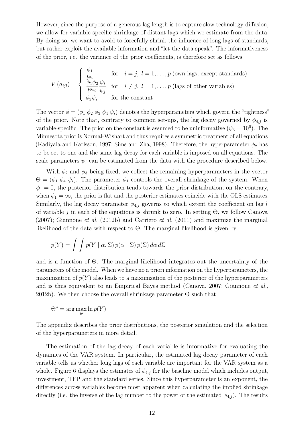However, since the purpose of a generous lag length is to capture slow technology diffusion, we allow for variable-specific shrinkage of distant lags which we estimate from the data. By doing so, we want to avoid to forcefully shrink the influence of long lags of standards, but rather exploit the available information and "let the data speak". The informativeness of the prior, i.e. the variance of the prior coefficients, is therefore set as follows:

$$
V(a_{ijl}) = \begin{cases} \frac{\phi_1}{l^{\phi_4}} & \text{for } i = j, l = 1, \dots, p \text{ (own lags, except standards)}\\ \frac{\phi_1 \phi_2}{l^{\phi_{4,j}}} \frac{\psi_i}{\psi_j} & \text{for } i \neq j, l = 1, \dots, p \text{ (lags of other variables)}\\ \phi_3 \psi_i & \text{for the constant} \end{cases}
$$

The vector  $\phi = (\phi_1 \phi_2 \phi_3 \phi_4 \psi_i)$  denotes the hyperparameters which govern the "tightness" of the prior. Note that, contrary to common set-ups, the lag decay governed by  $\phi_{4,i}$  is variable-specific. The prior on the constant is assumed to be uninformative ( $\psi_3 = 10^6$ ). The Minnesota prior is Normal-Wishart and thus requires a symmetric treatment of all equations [\(Kadiyala and Karlsson,](#page-53-8) [1997;](#page-53-8) [Sims and Zha,](#page-54-6) [1998\)](#page-54-6). Therefore, the hyperparameter  $\phi_2$  has to be set to one and the same lag decay for each variable is imposed on all equations. The scale parameters  $\psi_i$  can be estimated from the data with the procedure described below.

With  $\phi_2$  and  $\phi_3$  being fixed, we collect the remaining hyperparameters in the vector  $\Theta = (\phi_1 \phi_4 \psi_i)$ . The parameter  $\phi_1$  controls the overall shrinkage of the system. When  $\phi_1 = 0$ , the posterior distribution tends towards the prior distribution; on the contrary, when  $\phi_1 = \infty$ , the prior is flat and the posterior estimates coincide with the OLS estimates. Similarly, the lag decay parameter  $\phi_{4,i}$  governs to which extent the coefficient on lag l of variable j in each of the equations is shrunk to zero. In setting  $\Theta$ , we follow [Canova](#page-50-7)  $(2007)$ ; [Giannone](#page-52-7) *et al.*  $(2012b)$  and [Carriero](#page-51-7) *et al.*  $(2011)$  and maximize the marginal likelihood of the data with respect to  $\Theta$ . The marginal likelihood is given by

$$
p(Y) = \int \int p(Y \mid \alpha, \Sigma) p(\alpha \mid \Sigma) p(\Sigma) d\alpha d\Sigma
$$

and is a function of Θ. The marginal likelihood integrates out the uncertainty of the parameters of the model. When we have no a priori information on the hyperparameters, the maximization of  $p(Y)$  also leads to a maximization of the posterior of the hyperparameters and is thus equivalent to an Empirical Bayes method [\(Canova,](#page-50-7) [2007;](#page-50-7) [Giannone](#page-52-7) et al., [2012b\)](#page-52-7). We then choose the overall shrinkage parameter  $\Theta$  such that

$$
\Theta^* = \arg\max_{\Theta} \ln p(Y)
$$

The appendix describes the prior distributions, the posterior simulation and the selection of the hyperparameters in more detail.

The estimation of the lag decay of each variable is informative for evaluating the dynamics of the VAR system. In particular, the estimated lag decay parameter of each variable tells us whether long lags of each variable are important for the VAR system as a whole. Figure [6](#page-17-0) displays the estimates of  $\phi_{4,i}$  for the baseline model which includes output, investment, TFP and the standard series. Since this hyperparameter is an exponent, the differences across variables become most apparent when calculating the implied shrinkage directly (i.e. the inverse of the lag number to the power of the estimated  $\phi_{4,j}$ ). The results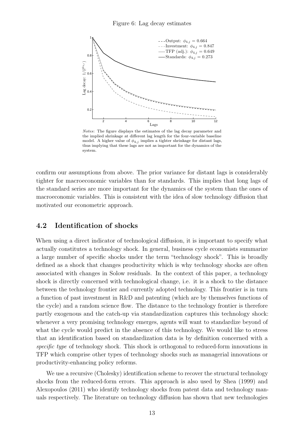<span id="page-17-0"></span>

Notes: The figure displays the estimates of the lag decay parameter and the implied shrinkage at different lag length for the four-variable baseline model. A higher value of  $\phi_{4,j}$  implies a tighter shrinkage for distant lags, thus implying that these lags are not as important for the dynamics of the system.

confirm our assumptions from above. The prior variance for distant lags is considerably tighter for macroeconomic variables than for standards. This implies that long lags of the standard series are more important for the dynamics of the system than the ones of macroeconomic variables. This is consistent with the idea of slow technology diffusion that motivated our econometric approach.

#### 4.2 Identification of shocks

When using a direct indicator of technological diffusion, it is important to specify what actually constitutes a technology shock. In general, business cycle economists summarize a large number of specific shocks under the term "technology shock". This is broadly defined as a shock that changes productivity which is why technology shocks are often associated with changes in Solow residuals. In the context of this paper, a technology shock is directly concerned with technological change, i.e. it is a shock to the distance between the technology frontier and currently adopted technology. This frontier is in turn a function of past investment in R&D and patenting (which are by themselves functions of the cycle) and a random science flow. The distance to the technology frontier is therefore partly exogenous and the catch-up via standardization captures this technology shock: whenever a very promising technology emerges, agents will want to standardize beyond of what the cycle would predict in the absence of this technology. We would like to stress that an identification based on standardization data is by definition concerned with a specific type of technology shock. This shock is orthogonal to reduced-form innovations in TFP which comprise other types of technology shocks such as managerial innovations or productivity-enhancing policy reforms.

We use a recursive (Cholesky) identification scheme to recover the structural technology shocks from the reduced-form errors. This approach is also used by [Shea](#page-54-1) [\(1999\)](#page-54-1) and [Alexopoulos](#page-50-4) [\(2011\)](#page-50-4) who identify technology shocks from patent data and technology manuals respectively. The literature on technology diffusion has shown that new technologies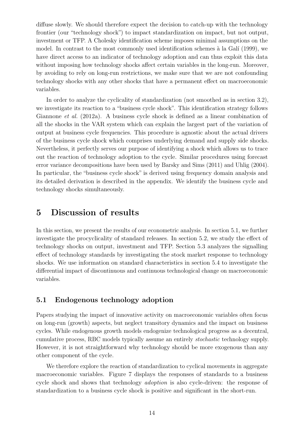diffuse slowly. We should therefore expect the decision to catch-up with the technology frontier (our "technology shock") to impact standardization on impact, but not output, investment or TFP. A Cholesky identification scheme imposes minimal assumptions on the model. In contrast to the most commonly used identification schemes à la Galí [\(1999\)](#page-52-3), we have direct access to an indicator of technology adoption and can thus exploit this data without imposing how technology shocks affect certain variables in the long-run. Moreover, by avoiding to rely on long-run restrictions, we make sure that we are not confounding technology shocks with any other shocks that have a permanent effect on macroeconomic variables.

In order to analyze the cyclicality of standardization (not smoothed as in section [3.2\)](#page-13-1), we investigate its reaction to a "business cycle shock". This identification strategy follows [Giannone](#page-52-8) et al. [\(2012a\)](#page-52-8). A business cycle shock is defined as a linear combination of all the shocks in the VAR system which can explain the largest part of the variation of output at business cycle frequencies. This procedure is agnostic about the actual drivers of the business cycle shock which comprises underlying demand and supply side shocks. Nevertheless, it perfectly serves our purpose of identifying a shock which allows us to trace out the reaction of technology adoption to the cycle. Similar procedures using forecast error variance decompositions have been used by [Barsky and Sims](#page-50-8) [\(2011\)](#page-50-8) and [Uhlig](#page-54-7) [\(2004\)](#page-54-7). In particular, the "business cycle shock" is derived using frequency domain analysis and its detailed derivation is described in the appendix. We identify the business cycle and technology shocks simultaneously.

## <span id="page-18-0"></span>5 Discussion of results

In this section, we present the results of our econometric analysis. In section [5.1,](#page-18-1) we further investigate the procyclicality of standard releases. In section [5.2,](#page-20-0) we study the effect of technology shocks on output, investment and TFP. Section [5.3](#page-25-0) analyzes the signalling effect of technology standards by investigating the stock market response to technology shocks. We use information on standard characteristics in section [5.4](#page-27-0) to investigate the differential impact of discontinuous and continuous technological change on macroeconomic variables.

### <span id="page-18-1"></span>5.1 Endogenous technology adoption

Papers studying the impact of innovative activity on macroeconomic variables often focus on long-run (growth) aspects, but neglect transitory dynamics and the impact on business cycles. While endogenous growth models endogenize technological progress as a decentral, cumulative process, RBC models typically assume an entirely stochastic technology supply. However, it is not straightforward why technology should be more exogenous than any other component of the cycle.

We therefore explore the reaction of standardization to cyclical movements in aggregate macroeconomic variables. Figure [7](#page-19-0) displays the responses of standards to a business cycle shock and shows that technology *adoption* is also cycle-driven: the response of standardization to a business cycle shock is positive and significant in the short-run.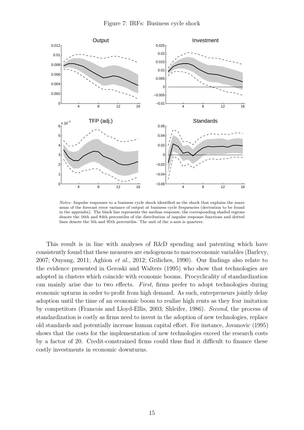

<span id="page-19-0"></span>

Notes: Impulse responses to a business cycle shock identified as the shock that explains the maximum of the forecast error variance of output at business cycle frequencies (derivation to be found in the appendix). The black line represents the median response, the corresponding shaded regions denote the 16th and 84th percentiles of the distribution of impulse response functions and dotted lines denote the 5th and 95th percentiles. The unit of the x-axis is quarters.

This result is in line with analyses of R&D spending and patenting which have consistently found that these measures are endogenous to macroeconomic variables [\(Barlevy,](#page-50-6) [2007;](#page-50-6) [Ouyang,](#page-54-3) [2011;](#page-54-3) [Aghion](#page-50-9) et al., [2012;](#page-50-9) [Griliches,](#page-52-6) [1990\)](#page-52-6). Our findings also relate to the evidence presented in [Geroski and Walters](#page-52-9) [\(1995\)](#page-52-9) who show that technologies are adopted in clusters which coincide with economic booms. Procyclicality of standardization can mainly arise due to two effects. First, firms prefer to adopt technologies during economic upturns in order to profit from high demand. As such, entrepreneurs jointly delay adoption until the time of an economic boom to realize high rents as they fear imitation by competitors [\(Francois and Lloyd-Ellis,](#page-51-8) [2003;](#page-51-8) [Shleifer,](#page-54-8) [1986\)](#page-54-8). Second, the process of standardization is costly as firms need to invest in the adoption of new technologies, replace old standards and potentially increase human capital effort. For instance, [Jovanovic](#page-53-9) [\(1995\)](#page-53-9) shows that the costs for the implementation of new technologies exceed the research costs by a factor of 20. Credit-constrained firms could thus find it difficult to finance these costly investments in economic downturns.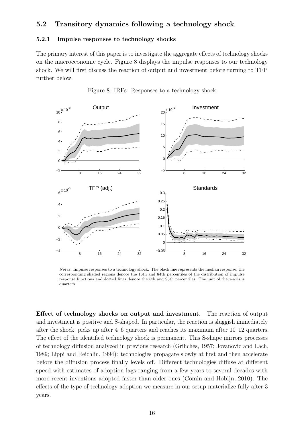### <span id="page-20-0"></span>5.2 Transitory dynamics following a technology shock

#### 5.2.1 Impulse responses to technology shocks

The primary interest of this paper is to investigate the aggregate effects of technology shocks on the macroeconomic cycle. Figure [8](#page-20-1) displays the impulse responses to our technology shock. We will first discuss the reaction of output and investment before turning to TFP further below.

<span id="page-20-1"></span>



Notes: Impulse responses to a technology shock. The black line represents the median response, the corresponding shaded regions denote the 16th and 84th percentiles of the distribution of impulse response functions and dotted lines denote the 5th and 95th percentiles. The unit of the x-axis is quarters.

Effect of technology shocks on output and investment. The reaction of output and investment is positive and S-shaped. In particular, the reaction is sluggish immediately after the shock, picks up after 4–6 quarters and reaches its maximum after 10–12 quarters. The effect of the identified technology shock is permanent. This S-shape mirrors processes of technology diffusion analyzed in previous research [\(Griliches,](#page-52-10) [1957;](#page-52-10) [Jovanovic and Lach,](#page-53-10) [1989;](#page-53-10) [Lippi and Reichlin,](#page-54-9) [1994\)](#page-54-9): technologies propagate slowly at first and then accelerate before the diffusion process finally levels off. Different technologies diffuse at different speed with estimates of adoption lags ranging from a few years to several decades with more recent inventions adopted faster than older ones [\(Comin and Hobijn,](#page-51-9) [2010\)](#page-51-9). The effects of the type of technology adoption we measure in our setup materialize fully after 3 years.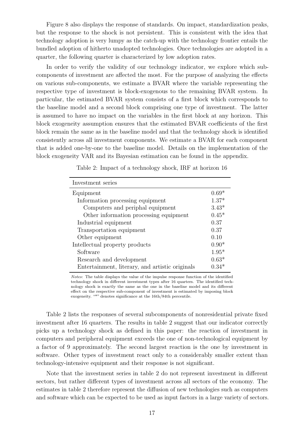Figure [8](#page-20-1) also displays the response of standards. On impact, standardization peaks, but the response to the shock is not persistent. This is consistent with the idea that technology adoption is very lumpy as the catch-up with the technology frontier entails the bundled adoption of hitherto unadopted technologies. Once technologies are adopted in a quarter, the following quarter is characterized by low adoption rates.

In order to verify the validity of our technology indicator, we explore which subcomponents of investment are affected the most. For the purpose of analyzing the effects on various sub-components, we estimate a BVAR where the variable representing the respective type of investment is block-exogenous to the remaining BVAR system. In particular, the estimated BVAR system consists of a first block which corresponds to the baseline model and a second block comprising one type of investment. The latter is assumed to have no impact on the variables in the first block at any horizon. This block exogeneity assumption ensures that the estimated BVAR coefficients of the first block remain the same as in the baseline model and that the technology shock is identified consistently across all investment components. We estimate a BVAR for each component that is added one-by-one to the baseline model. Details on the implementation of the block exogeneity VAR and its Bayesian estimation can be found in the appendix.

<span id="page-21-0"></span>

| Investment series                               |         |
|-------------------------------------------------|---------|
| Equipment                                       | $0.69*$ |
| Information processing equipment                | $1.37*$ |
| Computers and periphal equipment                | $3.43*$ |
| Other information processing equipment          | $0.45*$ |
| Industrial equipment                            | 0.37    |
| Transportation equipment                        | 0.37    |
| Other equipment                                 | 0.10    |
| Intellectual property products                  | $0.90*$ |
| Software                                        | $1.95*$ |
| Research and development                        | $0.63*$ |
| Entertainment, literary, and artistic originals | $0.34*$ |

Table 2: Impact of a technology shock, IRF at horizon 16

Notes: The table displays the value of the impulse response function of the identified technology shock in different investment types after 16 quarters. The identified technology shock is exactly the same as the one in the baseline model and its different effect on the respective sub-component of investment is estimated by imposing block exogeneity. "\*" denotes significance at the 16th/84th percentile.

Table [2](#page-21-0) lists the responses of several subcomponents of nonresidential private fixed investment after 16 quarters. The results in table [2](#page-21-0) suggest that our indicator correctly picks up a technology shock as defined in this paper: the reaction of investment in computers and peripheral equipment exceeds the one of non-technological equipment by a factor of 9 approximately. The second largest reaction is the one by investment in software. Other types of investment react only to a considerably smaller extent than technology-intensive equipment and their response is not significant.

Note that the investment series in table [2](#page-21-0) do not represent investment in different sectors, but rather different types of investment across all sectors of the economy. The estimates in table [2](#page-21-0) therefore represent the diffusion of new technologies such as computers and software which can be expected to be used as input factors in a large variety of sectors.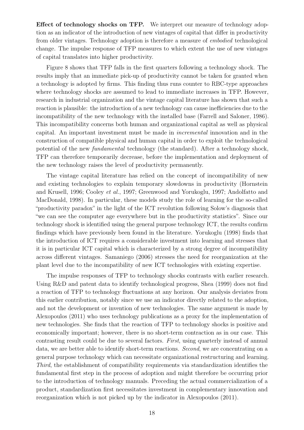Effect of technology shocks on TFP. We interpret our measure of technology adoption as an indicator of the introduction of new vintages of capital that differ in productivity from older vintages. Technology adoption is therefore a measure of embodied technological change. The impulse response of TFP measures to which extent the use of new vintages of capital translates into higher productivity.

Figure [8](#page-20-1) shows that TFP falls in the first quarters following a technology shock. The results imply that an immediate pick-up of productivity cannot be taken for granted when a technology is adopted by firms. This finding thus runs counter to RBC-type approaches where technology shocks are assumed to lead to immediate increases in TFP. However, research in industrial organization and the vintage capital literature has shown that such a reaction is plausible: the introduction of a new technology can cause inefficiencies due to the incompatibility of the new technology with the installed base [\(Farrell and Saloner,](#page-51-10) [1986\)](#page-51-10). This incompatibility concerns both human and organizational capital as well as physical capital. An important investment must be made in incremental innovation and in the construction of compatible physical and human capital in order to exploit the technological potential of the new fundamental technology (the standard). After a technology shock, TFP can therefore temporarily decrease, before the implementation and deployment of the new technology raises the level of productivity permanently.

The vintage capital literature has relied on the concept of incompatibility of new and existing technologies to explain temporary slowdowns in productivity [\(Hornstein](#page-53-11) [and Krusell,](#page-53-11) [1996;](#page-53-11) [Cooley](#page-51-0) et al., [1997;](#page-51-0) [Greenwood and Yorukoglu,](#page-52-11) [1997;](#page-52-11) [Andolfatto and](#page-50-10) [MacDonald,](#page-50-10) [1998\)](#page-50-10). In particular, these models study the role of learning for the so-called "productivity paradox" in the light of the ICT revolution following Solow's diagnosis that "we can see the computer age everywhere but in the productivity statistics". Since our technology shock is identified using the general purpose technology ICT, the results confirm findings which have previously been found in the literature. [Yorukoglu](#page-54-10) [\(1998\)](#page-54-10) finds that the introduction of ICT requires a considerable investment into learning and stresses that it is in particular ICT capital which is characterized by a strong degree of incompatibility across different vintages. [Samaniego](#page-54-11) [\(2006\)](#page-54-11) stresses the need for reorganization at the plant level due to the incompatibility of new ICT technologies with existing expertise.

The impulse responses of TFP to technology shocks contrasts with earlier research. Using R&D and patent data to identify technological progress, [Shea](#page-54-1) [\(1999\)](#page-54-1) does not find a reaction of TFP to technology fluctuations at any horizon. Our analysis deviates from this earlier contribution, notably since we use an indicator directly related to the adoption, and not the development or invention of new technologies. The same argument is made by [Alexopoulos](#page-50-4) [\(2011\)](#page-50-4) who uses technology publications as a proxy for the implementation of new technologies. She finds that the reaction of TFP to technology shocks is positive and economically important; however, there is no short-term contraction as in our case. This contrasting result could be due to several factors. First, using quarterly instead of annual data, we are better able to identify short-term reactions. *Second*, we are concentrating on a general purpose technology which can necessitate organizational restructuring and learning. Third, the establishment of compatibility requirements via standardization identifies the fundamental first step in the process of adoption and might therefore be occurring prior to the introduction of technology manuals. Preceding the actual commercialization of a product, standardization first necessitates investment in complementary innovation and reorganization which is not picked up by the indicator in [Alexopoulos](#page-50-4) [\(2011\)](#page-50-4).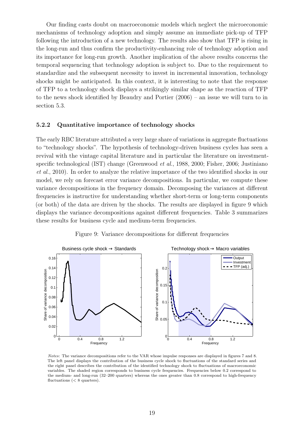Our finding casts doubt on macroeconomic models which neglect the microeconomic mechanisms of technology adoption and simply assume an immediate pick-up of TFP following the introduction of a new technology. The results also show that TFP is rising in the long-run and thus confirm the productivity-enhancing role of technology adoption and its importance for long-run growth. Another implication of the above results concerns the temporal sequencing that technology adoption is subject to. Due to the requirement to standardize and the subsequent necessity to invest in incremental innovation, technology shocks might be anticipated. In this context, it is interesting to note that the response of TFP to a technology shock displays a strikingly similar shape as the reaction of TFP to the news shock identified by [Beaudry and Portier](#page-50-2) [\(2006\)](#page-50-2) – an issue we will turn to in section [5.3.](#page-25-0)

#### 5.2.2 Quantitative importance of technology shocks

The early RBC literature attributed a very large share of variations in aggregate fluctuations to "technology shocks". The hypothesis of technology-driven business cycles has seen a revival with the vintage capital literature and in particular the literature on investmentspecific technological (IST) change [\(Greenwood](#page-52-0) et al., [1988,](#page-52-0) [2000;](#page-52-2) [Fisher,](#page-51-1) [2006;](#page-51-1) [Justiniano](#page-53-1) [et al.](#page-53-1), [2010\)](#page-53-1). In order to analyze the relative importance of the two identified shocks in our model, we rely on forecast error variance decompositions. In particular, we compute these variance decompositions in the frequency domain. Decomposing the variances at different frequencies is instructive for understanding whether short-term or long-term components (or both) of the data are driven by the shocks. The results are displayed in figure [9](#page-23-0) which displays the variance decompositions against different frequencies. Table [3](#page-25-1) summarizes these results for business cycle and medium-term frequencies.

<span id="page-23-0"></span>

Figure 9: Variance decompositions for different frequencies

Notes: The variance decompositions refer to the VAR whose impulse responses are displayed in figures [7](#page-19-0) and [8.](#page-20-1) The left panel displays the contribution of the business cycle shock to fluctuations of the standard series and the right panel describes the contribution of the identified technology shock to fluctuations of macroeconomic variables. The shaded region corresponds to business cycle frequencies. Frequencies below 0.2 correspond to the medium- and long-run (32–200 quarters) whereas the ones greater than 0.8 correspond to high-frequency fluctuations  $(< 8$  quarters).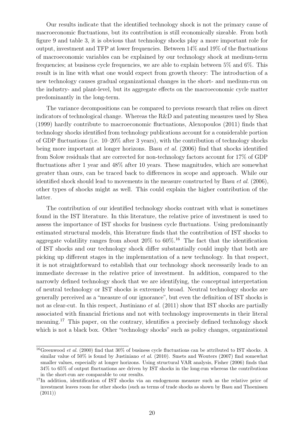Our results indicate that the identified technology shock is not the primary cause of macroeconomic fluctuations, but its contribution is still economically sizeable. From both figure [9](#page-23-0) and table [3,](#page-25-1) it is obvious that technology shocks play a more important role for output, investment and TFP at lower frequencies. Between 14% and 19% of the fluctuations of macroeconomic variables can be explained by our technology shock at medium-term frequencies; at business cycle frequencies, we are able to explain between 5% and 6%. This result is in line with what one would expect from growth theory: The introduction of a new technology causes gradual organizational changes in the short- and medium-run on the industry- and plant-level, but its aggregate effects on the macroeconomic cycle matter predominantly in the long-term.

The variance decompositions can be compared to previous research that relies on direct indicators of technological change. Whereas the R&D and patenting measures used by [Shea](#page-54-1) [\(1999\)](#page-54-1) hardly contribute to macroeconomic fluctuations, [Alexopoulos](#page-50-4) [\(2011\)](#page-50-4) finds that technology shocks identified from technology publications account for a considerable portion of GDP fluctuations (i.e. 10–20% after 3 years), with the contribution of technology shocks being more important at longer horizons. Basu [et al.](#page-50-3) [\(2006\)](#page-50-3) find that shocks identified from Solow residuals that are corrected for non-technology factors account for 17% of GDP fluctuations after 1 year and 48% after 10 years. These magnitudes, which are somewhat greater than ours, can be traced back to differences in scope and approach. While our identified shock should lead to movements in the measure constructed by Basu [et al.](#page-50-3) [\(2006\)](#page-50-3), other types of shocks might as well. This could explain the higher contribution of the latter.

The contribution of our identified technology shocks contrast with what is sometimes found in the IST literature. In this literature, the relative price of investment is used to assess the importance of IST shocks for business cycle fluctuations. Using predominantly estimated structural models, this literature finds that the contribution of IST shocks to aggregate volatility ranges from about  $20\%$  to  $60\%$ .<sup>[16](#page-24-0)</sup> The fact that the identification of IST shocks and our technology shock differ substantially could imply that both are picking up different stages in the implementation of a new technology. In that respect, it is not straightforward to establish that our technology shock necessarily leads to an immediate decrease in the relative price of investment. In addition, compared to the narrowly defined technology shock that we are identifying, the conceptual interpretation of neutral technology or IST shocks is extremely broad. Neutral technology shocks are generally perceived as a "measure of our ignorance", but even the definition of IST shocks is not as clear-cut. In this respect, [Justiniano](#page-53-12) *et al.* [\(2011\)](#page-53-12) show that IST shocks are partially associated with financial frictions and not with technology improvements in their literal meaning.[17](#page-24-1) This paper, on the contrary, identifies a precisely defined technology shock which is not a black box. Other "technology shocks" such as policy changes, organizational

<span id="page-24-0"></span><sup>&</sup>lt;sup>16</sup>[Greenwood](#page-52-2) *et al.* [\(2000\)](#page-52-2) find that  $30\%$  of business cycle fluctuations can be attributed to IST shocks. A similar value of  $50\%$  is found by [Justiniano](#page-53-1) *et al.* [\(2010\)](#page-53-1). [Smets and Wouters](#page-54-12) [\(2007\)](#page-54-12) find somewhat smaller values, especially at longer horizons. Using structural VAR analysis, [Fisher](#page-51-1) [\(2006\)](#page-51-1) finds that 34% to 65% of output fluctuations are driven by IST shocks in the long-run whereas the contributions in the short-run are comparable to our results.

<span id="page-24-1"></span><sup>&</sup>lt;sup>17</sup>In addition, identification of IST shocks via an endogenous measure such as the relative price of investment leaves room for other shocks (such as terms of trade shocks as shown by [Basu and Thoenissen](#page-50-11) [\(2011\)](#page-50-11))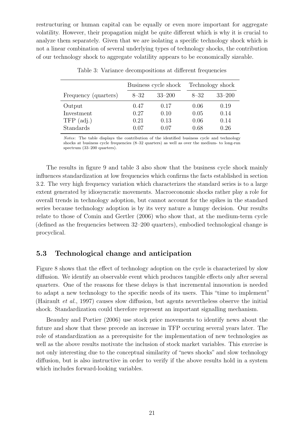restructuring or human capital can be equally or even more important for aggregate volatility. However, their propagation might be quite different which is why it is crucial to analyze them separately. Given that we are isolating a specific technology shock which is not a linear combination of several underlying types of technology shocks, the contribution of our technology shock to aggregate volatility appears to be economically sizeable.

<span id="page-25-1"></span>

|                      | Business cycle shock |            | Technology shock |            |
|----------------------|----------------------|------------|------------------|------------|
| Frequency (quarters) | $8 - 32$             | $33 - 200$ | $8 - 32$         | $33 - 200$ |
| Output               | 0.47                 | 0.17       | 0.06             | 0.19       |
| Investment           | 0.27                 | 0.10       | 0.05             | 0.14       |
| $TFP$ (adj.)         | 0.21                 | 0.13       | 0.06             | 0.14       |
| Standards            | 0.07                 | 0.07       | 0.68             | 0.26       |

Table 3: Variance decompositions at different frequencies

Notes: The table displays the contribution of the identified business cycle and technology shocks at business cycle frequencies (8–32 quarters) as well as over the medium- to long-run spectrum (33–200 quarters).

The results in figure [9](#page-23-0) and table [3](#page-25-1) also show that the business cycle shock mainly influences standardization at low frequencies which confirms the facts established in section [3.2.](#page-13-1) The very high frequency variation which characterizes the standard series is to a large extent generated by idiosyncratic movements. Macroeconomic shocks rather play a role for overall trends in technology adoption, but cannot account for the spikes in the standard series because technology adoption is by its very nature a lumpy decision. Our results relate to those of [Comin and Gertler](#page-51-11) [\(2006\)](#page-51-11) who show that, at the medium-term cycle (defined as the frequencies between 32–200 quarters), embodied technological change is procyclical.

#### <span id="page-25-0"></span>5.3 Technological change and anticipation

Figure [8](#page-20-1) shows that the effect of technology adoption on the cycle is characterized by slow diffusion. We identify an observable event which produces tangible effects only after several quarters. One of the reasons for these delays is that incremental innovation is needed to adapt a new technology to the specific needs of its users. This "time to implement" [\(Hairault](#page-52-12) et al., [1997\)](#page-52-12) causes slow diffusion, but agents nevertheless observe the initial shock. Standardization could therefore represent an important signalling mechanism.

[Beaudry and Portier](#page-50-2) [\(2006\)](#page-50-2) use stock price movements to identify news about the future and show that these precede an increase in TFP occuring several years later. The role of standardization as a prerequisite for the implementation of new technologies as well as the above results motivate the inclusion of stock market variables. This exercise is not only interesting due to the conceptual similarity of "news shocks" and slow technology diffusion, but is also instructive in order to verify if the above results hold in a system which includes forward-looking variables.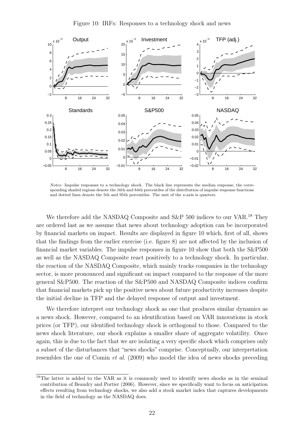<span id="page-26-1"></span>

Notes: Impulse responses to a technology shock. The black line represents the median response, the corresponding shaded regions denote the 16th and 84th percentiles of the distribution of impulse response functions and dotted lines denote the 5th and 95th percentiles. The unit of the x-axis is quarters.

We therefore add the NASDAQ Composite and S&P 500 indices to our VAR.<sup>[18](#page-26-0)</sup> They are ordered last as we assume that news about technology adoption can be incorporated by financial markets on impact. Results are displayed in figure [10](#page-26-1) which, first of all, shows that the findings from the earlier exercise (i.e. figure [8\)](#page-20-1) are not affected by the inclusion of financial market variables. The impulse responses in figure [10](#page-26-1) show that both the S&P500 as well as the NASDAQ Composite react positively to a technology shock. In particular, the reaction of the NASDAQ Composite, which mainly tracks companies in the technology sector, is more pronounced and significant on impact compared to the response of the more general S&P500. The reaction of the S&P500 and NASDAQ Composite indices confirm that financial markets pick up the positive news about future productivity increases despite the initial decline in TFP and the delayed response of output and investment.

We therefore interpret our technology shock as one that produces similar dynamics as a news shock. However, compared to an identification based on VAR innovations in stock prices (or TFP), our identified technology shock is orthogonal to those. Compared to the news shock literature, our shock explains a smaller share of aggregate volatility. Once again, this is due to the fact that we are isolating a very specific shock which comprises only a subset of the disturbances that "news shocks" comprise. Conceptually, our interpretation resembles the one of [Comin](#page-51-12) et al. [\(2009\)](#page-51-12) who model the idea of news shocks preceding

<span id="page-26-0"></span><sup>&</sup>lt;sup>18</sup>The latter is added to the VAR as it is commonly used to identify news shocks as in the seminal contribution of [Beaudry and Portier](#page-50-2) [\(2006\)](#page-50-2). However, since we specifically want to focus on anticipation effects resulting from technology shocks, we also add a stock market index that captures developments in the field of technology as the NASDAQ does.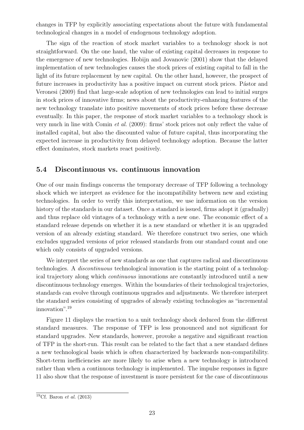changes in TFP by explicitly associating expectations about the future with fundamental technological changes in a model of endogenous technology adoption.

The sign of the reaction of stock market variables to a technology shock is not straightforward. On the one hand, the value of existing capital decreases in response to the emergence of new technologies. [Hobijn and Jovanovic](#page-53-13) [\(2001\)](#page-53-13) show that the delayed implementation of new technologies causes the stock prices of existing capital to fall in the light of its future replacement by new capital. On the other hand, however, the prospect of future increases in productivity has a positive impact on current stock prices. Pástor and [Veronesi](#page-54-13) [\(2009\)](#page-54-13) find that large-scale adoption of new technologies can lead to initial surges in stock prices of innovative firms; news about the productivity-enhancing features of the new technology translate into positive movements of stock prices before these decrease eventually. In this paper, the response of stock market variables to a technology shock is very much in line with [Comin](#page-51-12) et al. [\(2009\)](#page-51-12): firms' stock prices not only reflect the value of installed capital, but also the discounted value of future capital, thus incorporating the expected increase in productivity from delayed technology adoption. Because the latter effect dominates, stock markets react positively.

### <span id="page-27-0"></span>5.4 Discontinuous vs. continuous innovation

One of our main findings concerns the temporary decrease of TFP following a technology shock which we interpret as evidence for the incompatibility between new and existing technologies. In order to verify this interpretation, we use information on the version history of the standards in our dataset. Once a standard is issued, firms adopt it (gradually) and thus replace old vintages of a technology with a new one. The economic effect of a standard release depends on whether it is a new standard or whether it is an upgraded version of an already existing standard. We therefore construct two series, one which excludes upgraded versions of prior released standards from our standard count and one which only consists of upgraded versions.

We interpret the series of new standards as one that captures radical and discontinuous technologies. A discontinuous technological innovation is the starting point of a technological trajectory along which continuous innovations are constantly introduced until a new discontinuous technology emerges. Within the boundaries of their technological trajectories, standards can evolve through continuous upgrades and adjustments. We therefore interpret the standard series consisting of upgrades of already existing technologies as "incremental innovation".[19](#page-27-1)

Figure [11](#page-28-0) displays the reaction to a unit technology shock deduced from the different standard measures. The response of TFP is less pronounced and not significant for standard upgrades. New standards, however, provoke a negative and significant reaction of TFP in the short-run. This result can be related to the fact that a new standard defines a new technological basis which is often characterized by backwards non-compatibility. Short-term inefficiencies are more likely to arise when a new technology is introduced rather than when a continuous technology is implemented. The impulse responses in figure [11](#page-28-0) also show that the response of investment is more persistent for the case of discontinuous

<span id="page-27-1"></span><sup>&</sup>lt;sup>19</sup>Cf. [Baron](#page-50-12) et al.  $(2013)$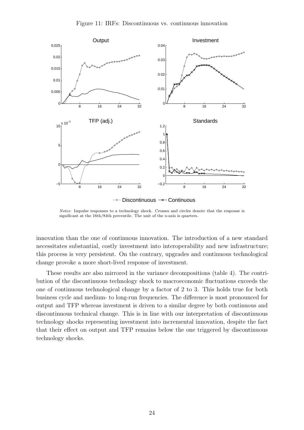<span id="page-28-0"></span>

Notes: Impulse responses to a technology shock. Crosses and circles denote that the response is significant at the 16th/84th percentile. The unit of the x-axis is quarters.

innovation than the one of continuous innovation. The introduction of a new standard necessitates substantial, costly investment into interoperability and new infrastructure; this process is very persistent. On the contrary, upgrades and continuous technological change provoke a more short-lived response of investment.

These results are also mirrored in the variance decompositions (table [4\)](#page-29-1). The contribution of the discontinuous technology shock to macroeconomic fluctuations exceeds the one of continuous technological change by a factor of 2 to 3. This holds true for both business cycle and medium- to long-run frequencies. The difference is most pronounced for output and TFP whereas investment is driven to a similar degree by both continuous and discontinuous technical change. This is in line with our interpretation of discontinuous technology shocks representing investment into incremental innovation, despite the fact that their effect on output and TFP remains below the one triggered by discontinuous technology shocks.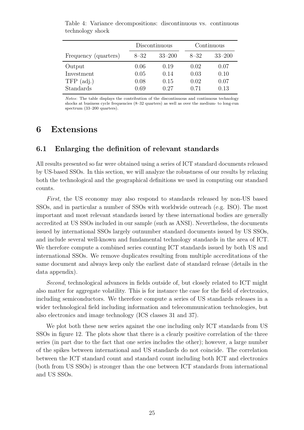|                      | Discontinuous |            | Continuous |            |
|----------------------|---------------|------------|------------|------------|
| Frequency (quarters) | $8 - 32$      | $33 - 200$ | $8 - 32$   | $33 - 200$ |
| Output               | 0.06          | 0.19       | 0.02       | 0.07       |
| Investment           | 0.05          | 0.14       | 0.03       | 0.10       |
| $TFP$ (adj.)         | 0.08          | 0.15       | 0.02       | 0.07       |
| Standards            | 0.69          | 0.27       | 0.71       | 0.13       |

<span id="page-29-1"></span>Table 4: Variance decompositions: discontinuous vs. continuous technology shock

Notes: The table displays the contribution of the discontinuous and continuous technology shocks at business cycle frequencies (8–32 quarters) as well as over the medium- to long-run spectrum (33–200 quarters).

### <span id="page-29-0"></span>6 Extensions

### 6.1 Enlarging the definition of relevant standards

All results presented so far were obtained using a series of ICT standard documents released by US-based SSOs. In this section, we will analyze the robustness of our results by relaxing both the technological and the geographical definitions we used in computing our standard counts.

First, the US economy may also respond to standards released by non-US based SSOs, and in particular a number of SSOs with worldwide outreach (e.g. ISO). The most important and most relevant standards issued by these international bodies are generally accredited at US SSOs included in our sample (such as ANSI). Nevertheless, the documents issued by international SSOs largely outnumber standard documents issued by US SSOs, and include several well-known and fundamental technology standards in the area of ICT. We therefore compute a combined series counting ICT standards issued by both US and international SSOs. We remove duplicates resulting from multiple accreditations of the same document and always keep only the earliest date of standard release (details in the data appendix).

Second, technological advances in fields outside of, but closely related to ICT might also matter for aggregate volatility. This is for instance the case for the field of electronics, including semiconductors. We therefore compute a series of US standards releases in a wider technological field including information and telecommunication technologies, but also electronics and image technology (ICS classes 31 and 37).

We plot both these new series against the one including only ICT standards from US SSOs in figure [12.](#page-30-0) The plots show that there is a clearly positive correlation of the three series (in part due to the fact that one series includes the other); however, a large number of the spikes between international and US standards do not coincide. The correlation between the ICT standard count and standard count including both ICT and electronics (both from US SSOs) is stronger than the one between ICT standards from international and US SSOs.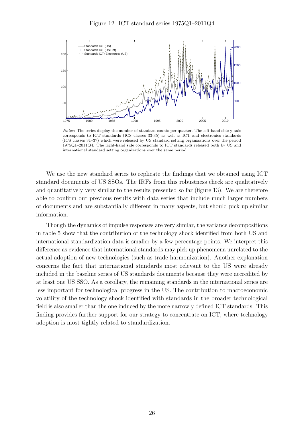<span id="page-30-0"></span>

Notes: The series display the number of standard counts per quarter. The left-hand side y-axis corresponds to ICT standards (ICS classes 33-35) as well as ICT and electronics standards (ICS classes 31–37) which were released by US standard setting organizations over the period 1975Q1–2011Q4. The right-hand side corresponds to ICT standards released both by US and international standard setting organizations over the same period.

We use the new standard series to replicate the findings that we obtained using ICT standard documents of US SSOs. The IRFs from this robustness check are qualitatively and quantitatively very similar to the results presented so far (figure [13\)](#page-31-0). We are therefore able to confirm our previous results with data series that include much larger numbers of documents and are substantially different in many aspects, but should pick up similar information.

Though the dynamics of impulse responses are very similar, the variance decompositions in table [5](#page-31-1) show that the contribution of the technology shock identified from both US and international standardization data is smaller by a few percentage points. We interpret this difference as evidence that international standards may pick up phenomena unrelated to the actual adoption of new technologies (such as trade harmonization). Another explanation concerns the fact that international standards most relevant to the US were already included in the baseline series of US standards documents because they were accredited by at least one US SSO. As a corollary, the remaining standards in the international series are less important for technological progress in the US. The contribution to macroeconomic volatility of the technology shock identified with standards in the broader technological field is also smaller than the one induced by the more narrowly defined ICT standards. This finding provides further support for our strategy to concentrate on ICT, where technology adoption is most tightly related to standardization.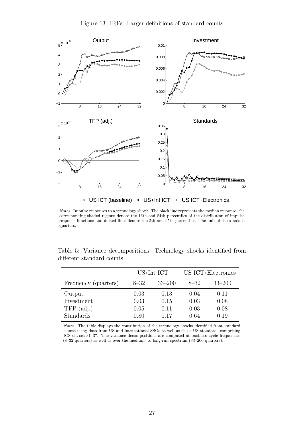

<span id="page-31-0"></span>

Notes: Impulse responses to a technology shock. The black line represents the median response, the corresponding shaded regions denote the 16th and 84th percentiles of the distribution of impulse response functions and dotted lines denote the 5th and 95th percentiles. The unit of the x-axis is quarters.

|                      | US+Int ICT |            | US ICT+Electronics |            |
|----------------------|------------|------------|--------------------|------------|
| Frequency (quarters) | $8 - 32$   | $33 - 200$ | $8 - 32$           | $33 - 200$ |
| Output               | 0.03       | 0.13       | 0.04               | 0.11       |
| Investment           | 0.03       | 0.15       | 0.03               | 0.08       |
| $TFP$ (adj.)         | 0.05       | 0.11       | 0.03               | 0.08       |
| Standards            | 0.80       | () 17      | 0.64               | 0.19       |

<span id="page-31-1"></span>Table 5: Variance decompositions: Technology shocks identified from different standard counts

Notes: The table displays the contribution of the technology shocks identified from standard counts using data from US and international SSOs as well as those US standards comprising ICS classes 31–37. The variance decompositions are computed at business cycle frequencies (8–32 quarters) as well as over the medium- to long-run spectrum (33–200 quarters).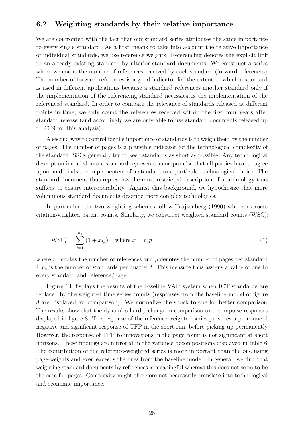#### 6.2 Weighting standards by their relative importance

We are confronted with the fact that our standard series attributes the same importance to every single standard. As a first means to take into account the relative importance of individual standards, we use reference weights. Referencing denotes the explicit link to an already existing standard by ulterior standard documents. We construct a series where we count the number of references received by each standard (forward-references). The number of forward-references is a good indicator for the extent to which a standard is used in different applications because a standard references another standard only if the implementation of the referencing standard necessitates the implementation of the referenced standard. In order to compare the relevance of standards released at different points in time, we only count the references received within the first four years after standard release (and accordingly we are only able to use standard documents released up to 2009 for this analysis).

A second way to control for the importance of standards is to weigh them by the number of pages. The number of pages is a plausible indicator for the technological complexity of the standard. SSOs generally try to keep standards as short as possible. Any technological description included into a standard represents a compromise that all parties have to agree upon, and binds the implementers of a standard to a particular technological choice. The standard document thus represents the most restricted description of a technology that suffices to ensure interoperability. Against this background, we hypothesize that more voluminous standard documents describe more complex technologies.

In particular, the two weighting schemes follow [Trajtenberg](#page-54-14) [\(1990\)](#page-54-14) who constructs citation-weighted patent counts. Similarly, we construct weighted standard counts (WSC):

$$
\text{WSC}^x_t = \sum_{i=1}^{n_t} (1 + x_{i,t}) \quad \text{where } x = r, p \tag{1}
$$

where r denotes the number of references and  $p$  denotes the number of pages per standard  $i; n_t$  is the number of standards per quarter t. This measure thus assigns a value of one to every standard and reference/page.

Figure [14](#page-33-0) displays the results of the baseline VAR system when ICT standards are replaced by the weighted time series counts (responses from the baseline model of figure [8](#page-20-1) are displayed for comparison). We normalize the shock to one for better comparison. The results show that the dynamics hardly change in comparison to the impulse responses displayed in figure [8.](#page-20-1) The response of the reference-weighted series provokes a pronounced negative and significant response of TFP in the short-run, before picking up permanently. However, the response of TFP to innovations in the page count is not significant at short horizons. These findings are mirrored in the variance decompositions displayed in table [6.](#page-33-1) The contribution of the reference-weighted series is more important than the one using page-weights and even exceeds the ones from the baseline model. In general, we find that weighting standard documents by references is meaningful whereas this does not seem to be the case for pages. Complexity might therefore not necessarily translate into technological and economic importance.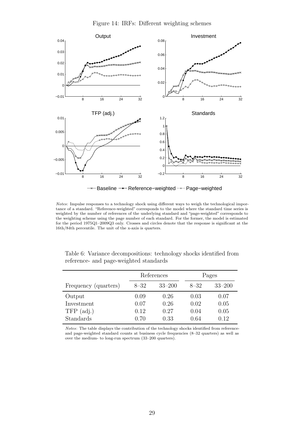

<span id="page-33-0"></span>

Faseline **→** Reference–weighted → Page–weighted  $\rightarrow$ 

Notes: Impulse responses to a technology shock using different ways to weigh the technological importance of a standard. "Reference-weighted" corresponds to the model where the standard time series is weighted by the number of references of the underlying standard and "page-weighted" corresponds to the weighting scheme using the page number of each standard. For the former, the model is estimated for the period 1975Q1–2009Q3 only. Crosses and circles denote that the response is significant at the 16th/84th percentile. The unit of the x-axis is quarters.

|                      | References |            | Pages    |            |
|----------------------|------------|------------|----------|------------|
| Frequency (quarters) | $8 - 32$   | $33 - 200$ | $8 - 32$ | $33 - 200$ |
| Output               | 0.09       | 0.26       | 0.03     | 0.07       |
| Investment           | 0.07       | 0.26       | 0.02     | 0.05       |
| $TFP$ (adj.)         | 0.12       | 0.27       | 0.04     | 0.05       |
| Standards            | 0.70       | 0.33       | 0.64     | 0.12       |

<span id="page-33-1"></span>Table 6: Variance decompositions: technology shocks identified from reference- and page-weighted standards

Notes: The table displays the contribution of the technology shocks identified from referenceand page-weighted standard counts at business cycle frequencies (8–32 quarters) as well as over the medium- to long-run spectrum (33–200 quarters).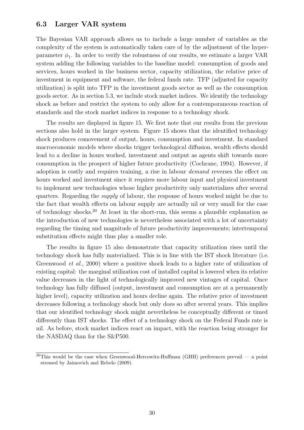#### 6.3 Larger VAR system

The Bayesian VAR approach allows us to include a large number of variables as the complexity of the system is automatically taken care of by the adjustment of the hyperparameter  $\phi_1$ . In order to verify the robustness of our results, we estimate a larger VAR system adding the following variables to the baseline model: consumption of goods and services, hours worked in the business sector, capacity utilization, the relative price of investment in equipment and software, the federal funds rate. TFP (adjusted for capacity utilization) is split into TFP in the investment goods sector as well as the consumption goods sector. As in section [5.3,](#page-25-0) we include stock market indices. We identify the technology shock as before and restrict the system to only allow for a contemporaneous reaction of standards and the stock market indices in response to a technology shock.

The results are displayed in figure [15.](#page-35-1) We first note that our results from the previous sections also hold in the larger system. Figure [15](#page-35-1) shows that the identified technology shock produces comovement of output, hours, consumption and investment. In standard macroeconomic models where shocks trigger technological diffusion, wealth effects should lead to a decline in hours worked, investment and output as agents shift towards more consumption in the prospect of higher future productivity [\(Cochrane,](#page-51-13) [1994\)](#page-51-13). However, if adoption is costly and requires training, a rise in labour demand reverses the effect on hours worked and investment since it requires more labour input and physical investment to implement new technologies whose higher productivity only materializes after several quarters. Regarding the supply of labour, the response of hours worked might be due to the fact that wealth effects on labour supply are actually nil or very small for the case of technology shocks.[20](#page-34-0) At least in the short-run, this seems a plausible explanation as the introduction of new technologies is nevertheless associated with a lot of uncertainty regarding the timing and magnitude of future productivity improvements; intertemporal substitution effects might thus play a smaller role.

The results in figure [15](#page-35-1) also demonstrate that capacity utilization rises until the technology shock has fully materialized. This is in line with the IST shock literature (i.e. [Greenwood](#page-52-2) *et al.*, [2000\)](#page-52-2) where a positive shock leads to a higher rate of utilization of existing capital: the marginal utilization cost of installed capital is lowered when its relative value decreases in the light of technologically improved new vintages of capital. Once technology has fully diffused (output, investment and consumption are at a permanently higher level), capacity utilization and hours decline again. The relative price of investment decreases following a technology shock but only does so after several years. This implies that our identified technology shock might nevertheless be conceptually different or timed differently than IST shocks. The effect of a technology shock on the Federal Funds rate is nil. As before, stock market indices react on impact, with the reaction being stronger for the NASDAQ than for the S&P500.

<span id="page-34-0"></span><sup>&</sup>lt;sup>20</sup>This would be the case when Greenwood-Hercowitz-Huffman (GHH) preferences prevail — a point stressed by [Jaimovich and Rebelo](#page-53-0) [\(2009\)](#page-53-0).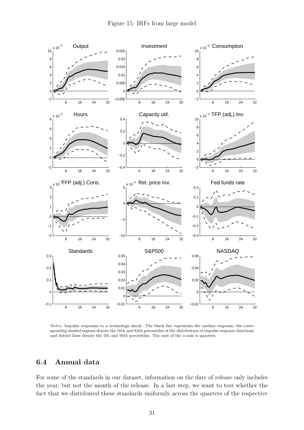<span id="page-35-1"></span>

Notes: Impulse responses to a technology shock. The black line represents the median response, the corresponding shaded regions denote the 16th and 84th percentiles of the distribution of impulse response functions and dotted lines denote the 5th and 95th percentiles. The unit of the x-axis is quarters.

### <span id="page-35-0"></span>6.4 Annual data

For some of the standards in our dataset, information on the date of release only includes the year, but not the month of the release. In a last step, we want to test whether the fact that we distributed these standards uniformly across the quarters of the respective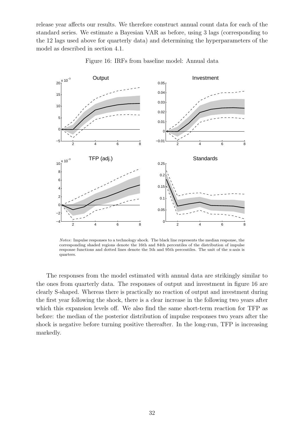release year affects our results. We therefore construct annual count data for each of the standard series. We estimate a Bayesian VAR as before, using 3 lags (corresponding to the 12 lags used above for quarterly data) and determining the hyperparameters of the model as described in section [4.1.](#page-15-3)

<span id="page-36-0"></span>

Figure 16: IRFs from baseline model: Annual data

Notes: Impulse responses to a technology shock. The black line represents the median response, the corresponding shaded regions denote the 16th and 84th percentiles of the distribution of impulse response functions and dotted lines denote the 5th and 95th percentiles. The unit of the x-axis is quarters.

The responses from the model estimated with annual data are strikingly similar to the ones from quarterly data. The responses of output and investment in figure [16](#page-36-0) are clearly S-shaped. Whereas there is practically no reaction of output and investment during the first year following the shock, there is a clear increase in the following two years after which this expansion levels off. We also find the same short-term reaction for TFP as before: the median of the posterior distribution of impulse responses two years after the shock is negative before turning positive thereafter. In the long-run, TFP is increasing markedly.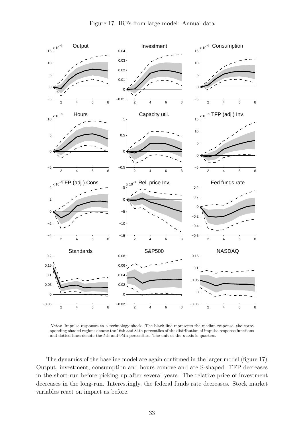<span id="page-37-0"></span>

Notes: Impulse responses to a technology shock. The black line represents the median response, the corresponding shaded regions denote the 16th and 84th percentiles of the distribution of impulse response functions and dotted lines denote the 5th and 95th percentiles. The unit of the x-axis is quarters.

−0.02

2 4 6 8

−0.05

2 4 6 8

2 4 6 8

−0.05

The dynamics of the baseline model are again confirmed in the larger model (figure [17\)](#page-37-0). Output, investment, consumption and hours comove and are S-shaped. TFP decreases in the short-run before picking up after several years. The relative price of investment decreases in the long-run. Interestingly, the federal funds rate decreases. Stock market variables react on impact as before.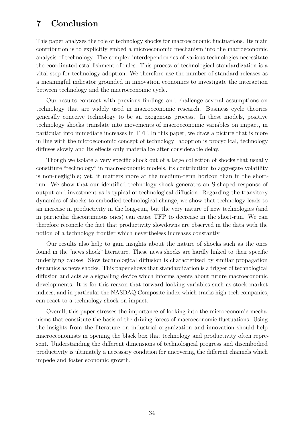## <span id="page-38-0"></span>7 Conclusion

This paper analyzes the role of technology shocks for macroeconomic fluctuations. Its main contribution is to explicitly embed a microeconomic mechanism into the macroeconomic analysis of technology. The complex interdependencies of various technologies necessitate the coordinated establishment of rules. This process of technological standardization is a vital step for technology adoption. We therefore use the number of standard releases as a meaningful indicator grounded in innovation economics to investigate the interaction between technology and the macroeconomic cycle.

Our results contrast with previous findings and challenge several assumptions on technology that are widely used in macroeconomic research. Business cycle theories generally conceive technology to be an exogenous process. In these models, positive technology shocks translate into movements of macroeconomic variables on impact, in particular into immediate increases in TFP. In this paper, we draw a picture that is more in line with the microeconomic concept of technology: adoption is procyclical, technology diffuses slowly and its effects only materialize after considerable delay.

Though we isolate a very specific shock out of a large collection of shocks that usually constitute "technology" in macroeconomic models, its contribution to aggregate volatility is non-negligible; yet, it matters more at the medium-term horizon than in the shortrun. We show that our identified technology shock generates an S-shaped response of output and investment as is typical of technological diffusion. Regarding the transitory dynamics of shocks to embodied technological change, we show that technology leads to an increase in productivity in the long-run, but the very nature of new technologies (and in particular discontinuous ones) can cause TFP to decrease in the short-run. We can therefore reconcile the fact that productivity slowdowns are observed in the data with the notion of a technology frontier which nevertheless increases constantly.

Our results also help to gain insights about the nature of shocks such as the ones found in the "news shock" literature. These news shocks are hardly linked to their specific underlying causes. Slow technological diffusion is characterized by similar propagation dynamics as news shocks. This paper shows that standardization is a trigger of technological diffusion and acts as a signalling device which informs agents about future macroeconomic developments. It is for this reason that forward-looking variables such as stock market indices, and in particular the NASDAQ Composite index which tracks high-tech companies, can react to a technology shock on impact.

Overall, this paper stresses the importance of looking into the microeconomic mechanisms that constitute the basis of the driving forces of macroeconomic fluctuations. Using the insights from the literature on industrial organization and innovation should help macroeconomists in opening the black box that technology and productivity often represent. Understanding the different dimensions of technological progress and disembodied productivity is ultimately a necessary condition for uncovering the different channels which impede and foster economic growth.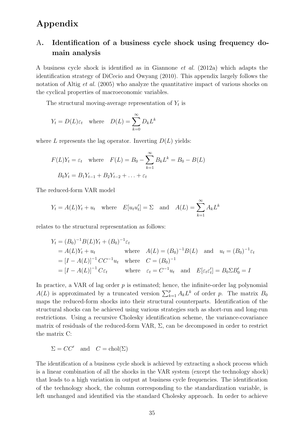## Appendix

### A. Identification of a business cycle shock using frequency domain analysis

A business cycle shock is identified as in [Giannone](#page-52-8) et al. [\(2012a\)](#page-52-8) which adapts the identification strategy of [DiCecio and Owyang](#page-51-14) [\(2010\)](#page-51-14). This appendix largely follows the notation of Altig *[et al.](#page-50-13)* [\(2005\)](#page-50-13) who analyze the quantitative impact of various shocks on the cyclical properties of macroeconomic variables.

The structural moving-average representation of  $Y_t$  is

$$
Y_t = D(L)\varepsilon_t
$$
 where  $D(L) = \sum_{k=0}^{\infty} D_k L^k$ 

where L represents the lag operator. Inverting  $D(L)$  yields:

$$
F(L)Y_t = \varepsilon_t
$$
 where  $F(L) = B_0 - \sum_{k=1}^{\infty} B_k L^k = B_0 - B(L)$   
 $B_0 Y_t = B_1 Y_{t-1} + B_2 Y_{t-2} + \ldots + \varepsilon_t$ 

The reduced-form VAR model

$$
Y_t = A(L)Y_t + u_t
$$
 where  $E[u_t u'_t] = \Sigma$  and  $A(L) = \sum_{k=1}^{\infty} A_k L^k$ 

relates to the structural representation as follows:

$$
Y_t = (B_0)^{-1}B(L)Y_t + (B_0)^{-1}\varepsilon_t
$$
  
=  $A(L)Y_t + u_t$  where  $A(L) = (B_0)^{-1}B(L)$  and  $u_t = (B_0)^{-1}\varepsilon_t$   
=  $[I - A(L)]^{-1}CC^{-1}u_t$  where  $C = (B_0)^{-1}$   
=  $[I - A(L)]^{-1}C\varepsilon_t$  where  $\varepsilon_t = C^{-1}u_t$  and  $E[\varepsilon_t \varepsilon_t'] = B_0 \Sigma B_0' = I$ 

In practice, a VAR of lag order  $p$  is estimated; hence, the infinite-order lag polynomial  $A(L)$  is approximated by a truncated version  $\sum_{k=1}^{p} A_k L^k$  of order p. The matrix  $B_0$ maps the reduced-form shocks into their structural counterparts. Identification of the structural shocks can be achieved using various strategies such as short-run and long-run restrictions. Using a recursive Cholesky identification scheme, the variance-covariance matrix of residuals of the reduced-form VAR,  $\Sigma$ , can be decomposed in order to restrict the matrix C:

$$
\Sigma = CC' \quad \text{and} \quad C = \text{chol}(\Sigma)
$$

The identification of a business cycle shock is achieved by extracting a shock process which is a linear combination of all the shocks in the VAR system (except the technology shock) that leads to a high variation in output at business cycle frequencies. The identification of the technology shock, the column corresponding to the standardization variable, is left unchanged and identified via the standard Cholesky approach. In order to achieve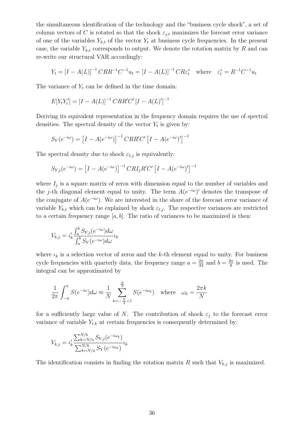the simultaneous identification of the technology and the "business cycle shock", a set of column vectors of C is rotated so that the shock  $\varepsilon_{i,t}$  maximizes the forecast error variance of one of the variables  $Y_{k,t}$  of the vector  $Y_t$  at business cycle frequencies. In the present case, the variable  $Y_{k,t}$  corresponds to output. We denote the rotation matrix by R and can re-write our structural VAR accordingly:

$$
Y_t = [I - A(L)]^{-1} \, CRR^{-1}C^{-1}u_t = [I - A(L)]^{-1} \, CRe_t^* \quad \text{where} \quad \varepsilon_t^* = R^{-1}C^{-1}u_t
$$

The variance of  $Y_t$  can be defined in the time domain:

$$
E[Y_t Y_t'] = [I - A(L)]^{-1} \, CRR'C'\, [I - A(L)']^{-1}
$$

Deriving its equivalent representation in the frequency domain requires the use of spectral densities. The spectral density of the vector  $Y_t$  is given by:

$$
S_Y(e^{-i\omega}) = \left[I - A(e^{-i\omega})\right]^{-1} CRR'C'\left[I - A(e^{-i\omega})'\right]^{-1}
$$

The spectral density due to shock  $\varepsilon_{t,j}$  is equivalently:

$$
S_{Y,j}(e^{-i\omega}) = \left[I - A(e^{-i\omega})\right]^{-1} CRI_jR'C'\left[I - A(e^{-i\omega})'\right]^{-1}
$$

where  $I_j$  is a square matrix of zeros with dimension equal to the number of variables and the j-th diagonal element equal to unity. The term  $A(e^{-i\omega})'$  denotes the transpose of the conjugate of  $A(e^{-i\omega})$ . We are interested in the share of the forecast error variance of variable  $Y_{k,t}$  which can be explained by shock  $\varepsilon_{t,j}$ . The respective variances are restricted to a certain frequency range  $[a, b]$ . The ratio of variances to be maximized is then:

$$
V_{k,j} = \iota'_k \frac{\int_a^b S_{Y,j}(e^{-i\omega}) d\omega}{\int_a^b S_Y(e^{-i\omega}) d\omega} \iota_k
$$

where  $\iota_k$  is a selection vector of zeros and the k-th element equal to unity. For business cycle frequencies with quarterly data, the frequency range  $a = \frac{2\pi}{32}$  and  $b = \frac{2\pi}{8}$  $\frac{2\pi}{8}$  is used. The integral can be approximated by

$$
\frac{1}{2\pi} \int_{-\pi}^{\pi} S(e^{-i\omega}) d\omega \approx \frac{1}{N} \sum_{k=-\frac{N}{2}+1}^{\frac{N}{2}} S(e^{-i\omega_k}) \text{ where } \omega_k = \frac{2\pi k}{N}
$$

for a sufficiently large value of N. The contribution of shock  $\varepsilon_i$  to the forecast error variance of variable  $Y_{t,k}$  at certain frequencies is consequently determined by:

$$
V_{k,j} = t'_k \frac{\sum_{k=N/a}^{N/b} S_{Y,j}(e^{-i\omega_k})}{\sum_{k=N/a}^{N/b} S_Y(e^{-i\omega_k})} t_k
$$

The identification consists in finding the rotation matrix R such that  $V_{k,j}$  is maximized.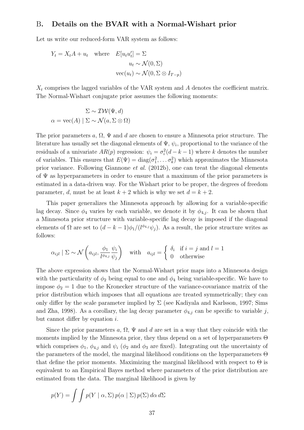#### <span id="page-41-0"></span>B. Details on the BVAR with a Normal-Wishart prior

Let us write our reduced-form VAR system as follows:

$$
Y_t = X_t A + u_t \quad \text{where} \quad E[u_t u'_t] = \Sigma
$$

$$
u_t \sim \mathcal{N}(0, \Sigma)
$$

$$
\text{vec}(u_t) \sim \mathcal{N}(0, \Sigma \otimes I_{T-p})
$$

 $X_t$  comprises the lagged variables of the VAR system and A denotes the coefficient matrix. The Normal-Wishart conjugate prior assumes the following moments:

$$
\Sigma \sim \mathcal{IW}(\Psi, d)
$$

$$
\alpha = \text{vec}(A) | \Sigma \sim \mathcal{N}(a, \Sigma \otimes \Omega)
$$

The prior parameters a,  $\Omega$ ,  $\Psi$  and d are chosen to ensure a Minnesota prior structure. The literature has usually set the diagonal elements of  $\Psi$ ,  $\psi_i$ , proportional to the variance of the residuals of a univariate  $AR(p)$  regression:  $\psi_i = \sigma_i^2(d - k - 1)$  where k denotes the number of variables. This ensures that  $E(\Psi) = \text{diag}(\sigma_1^2, \dots, \sigma_k^2)$  which approximates the Minnesota prior variance. Following [Giannone](#page-52-7) et al. [\(2012b\)](#page-52-7), one can treat the diagonal elements of  $\Psi$  as hyperparameters in order to ensure that a maximum of the prior parameters is estimated in a data-driven way. For the Wishart prior to be proper, the degrees of freedom parameter, d, must be at least  $k + 2$  which is why we set  $d = k + 2$ .

This paper generalizes the Minnesota approach by allowing for a variable-specific lag decay. Since  $\phi_4$  varies by each variable, we denote it by  $\phi_{4,j}$ . It can be shown that a Minnesota prior structure with variable-specific lag decay is imposed if the diagonal elements of  $\Omega$  are set to  $(d - k - 1)\phi_1/(l^{\phi_{4,j}}\psi_j)$ . As a result, the prior structure writes as follows:

$$
\alpha_{ijl} \mid \Sigma \sim \mathcal{N}\left(a_{ijl}, \frac{\phi_1}{l^{\phi_{4,j}}}\frac{\psi_i}{\psi_j}\right) \quad \text{with} \quad a_{ijl} = \begin{cases} \delta_i & \text{if } i = j \text{ and } l = 1\\ 0 & \text{otherwise} \end{cases}
$$

The above expression shows that the Normal-Wishart prior maps into a Minnesota design with the particularity of  $\phi_2$  being equal to one and  $\phi_4$  being variable-specific. We have to impose  $\phi_2 = 1$  due to the Kronecker structure of the variance-covariance matrix of the prior distribution which imposes that all equations are treated symmetrically; they can only differ by the scale parameter implied by  $\Sigma$  (see [Kadiyala and Karlsson,](#page-53-8) [1997;](#page-53-8) [Sims](#page-54-6) [and Zha,](#page-54-6) [1998\)](#page-54-6). As a corollary, the lag decay parameter  $\phi_{4,j}$  can be specific to variable j, but cannot differ by equation i.

Since the prior parameters a,  $\Omega$ ,  $\Psi$  and d are set in a way that they coincide with the moments implied by the Minnesota prior, they thus depend on a set of hyperparameters Θ which comprises  $\phi_1$ ,  $\phi_{4,j}$  and  $\psi_i$  ( $\phi_2$  and  $\phi_3$  are fixed). Integrating out the uncertainty of the parameters of the model, the marginal likelihood conditions on the hyperparameters Θ that define the prior moments. Maximizing the marginal likelihood with respect to  $\Theta$  is equivalent to an Empirical Bayes method where parameters of the prior distribution are estimated from the data. The marginal likelihood is given by

$$
p(Y) = \int \int p(Y \mid \alpha, \Sigma) p(\alpha \mid \Sigma) p(\Sigma) d\alpha d\Sigma
$$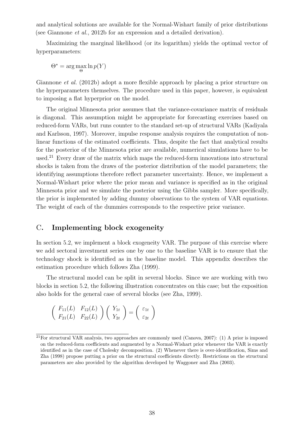and analytical solutions are available for the Normal-Wishart family of prior distributions (see [Giannone](#page-52-7) et al., [2012b](#page-52-7) for an expression and a detailed derivation).

Maximizing the marginal likelihood (or its logarithm) yields the optimal vector of hyperparameters:

 $\Theta^* = \arg\max_{\Theta} \ln p(Y)$ 

[Giannone](#page-52-7) et al. [\(2012b\)](#page-52-7) adopt a more flexible approach by placing a prior structure on the hyperparameters themselves. The procedure used in this paper, however, is equivalent to imposing a flat hyperprior on the model.

The original Minnesota prior assumes that the variance-covariance matrix of residuals is diagonal. This assumption might be appropriate for forecasting exercises based on reduced-form VARs, but runs counter to the standard set-up of structural VARs [\(Kadiyala](#page-53-8) [and Karlsson,](#page-53-8) [1997\)](#page-53-8). Moreover, impulse response analysis requires the computation of nonlinear functions of the estimated coefficients. Thus, despite the fact that analytical results for the posterior of the Minnesota prior are available, numerical simulations have to be used.<sup>[21](#page-42-0)</sup> Every draw of the matrix which maps the reduced-form innovations into structural shocks is taken from the draws of the posterior distribution of the model parameters; the identifying assumptions therefore reflect parameter uncertainty. Hence, we implement a Normal-Wishart prior where the prior mean and variance is specified as in the original Minnesota prior and we simulate the posterior using the Gibbs sampler. More specifically, the prior is implemented by adding dummy observations to the system of VAR equations. The weight of each of the dummies corresponds to the respective prior variance.

### C. Implementing block exogeneity

In section [5.2,](#page-20-0) we implement a block exogeneity VAR. The purpose of this exercise where we add sectoral investment series one by one to the baseline VAR is to ensure that the technology shock is identified as in the baseline model. This appendix describes the estimation procedure which follows [Zha](#page-54-15) [\(1999\)](#page-54-15).

The structural model can be split in several blocks. Since we are working with two blocks in section [5.2,](#page-20-0) the following illustration concentrates on this case; but the exposition also holds for the general case of several blocks (see [Zha,](#page-54-15) [1999\)](#page-54-15).

$$
\begin{pmatrix} F_{11}(L) & F_{12}(L) \\ F_{21}(L) & F_{22}(L) \end{pmatrix} \begin{pmatrix} Y_{1t} \\ Y_{2t} \end{pmatrix} = \begin{pmatrix} \varepsilon_{1t} \\ \varepsilon_{2t} \end{pmatrix}
$$

<span id="page-42-0"></span><sup>21</sup>For structural VAR analysis, two approaches are commonly used [\(Canova,](#page-50-7) [2007\)](#page-50-7): (1) A prior is imposed on the reduced-form coefficients and augmented by a Normal-Wishart prior whenever the VAR is exactly identified as in the case of Cholesky decomposition. (2) Whenever there is over-identification, [Sims and](#page-54-6) [Zha](#page-54-6) [\(1998\)](#page-54-6) propose putting a prior on the structural coefficients directly. Restrictions on the structural parameters are also provided by the algorithm developed by [Waggoner and Zha](#page-54-16) [\(2003\)](#page-54-16).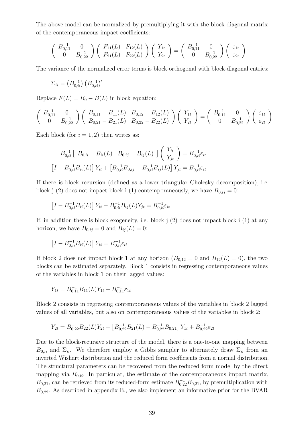The above model can be normalized by premultiplying it with the block-diagonal matrix of the contemporaneous impact coefficients:

$$
\begin{pmatrix}\nB_{0,11}^{-1} & 0 \\
0 & B_{0,22}^{-1}\n\end{pmatrix}\n\begin{pmatrix}\nF_{11}(L) & F_{12}(L) \\
F_{21}(L) & F_{22}(L)\n\end{pmatrix}\n\begin{pmatrix}\nY_{1t} \\
Y_{2t}\n\end{pmatrix} =\n\begin{pmatrix}\nB_{0,11}^{-1} & 0 \\
0 & B_{0,22}^{-1}\n\end{pmatrix}\n\begin{pmatrix}\n\varepsilon_{1t} \\
\varepsilon_{2t}\n\end{pmatrix}
$$

The variance of the normalized error terms is block-orthogonal with block-diagonal entries:

$$
\Sigma_{ii} = (B_{0,ii}^{-1}) (B_{0,ii}^{-1})'
$$

Replace  $F(L) = B_0 - B(L)$  in block equation:

$$
\begin{pmatrix}\nB_{0,11}^{-1} & 0 \\
0 & B_{0,22}^{-1}\n\end{pmatrix}\n\begin{pmatrix}\nB_{0,11} - B_{11}(L) & B_{0,12} - B_{12}(L) \\
B_{0,21} - B_{21}(L) & B_{0,22} - B_{22}(L)\n\end{pmatrix}\n\begin{pmatrix}\nY_{1t} \\
Y_{2t}\n\end{pmatrix} =\n\begin{pmatrix}\nB_{0,11}^{-1} & 0 \\
0 & B_{0,22}^{-1}\n\end{pmatrix}\n\begin{pmatrix}\n\varepsilon_{1t} \\
\varepsilon_{2t}\n\end{pmatrix}
$$

Each block (for  $i = 1, 2$ ) then writes as:

$$
B_{0,ii}^{-1} [B_{0,ii} - B_{ii}(L) B_{0,ij} - B_{ij}(L)] \begin{pmatrix} Y_{it} \\ Y_{jt} \end{pmatrix} = B_{0,ii}^{-1} \varepsilon_{it}
$$
  

$$
[I - B_{0,ii}^{-1} B_{ii}(L)] Y_{it} + [B_{0,ii}^{-1} B_{0,ij} - B_{0,ii}^{-1} B_{ij}(L)] Y_{jt} = B_{0,ii}^{-1} \varepsilon_{it}
$$

If there is block recursion (defined as a lower triangular Cholesky decomposition), i.e. block j (2) does not impact block i (1) contemporaneously, we have  $B_{0,ij} = 0$ :

$$
\left[I - B_{0,i}^{-1}B_{ii}(L)\right]Y_{it} - B_{0,i}^{-1}B_{ij}(L)Y_{jt} = B_{0,i}^{-1}\varepsilon_{it}
$$

If, in addition there is block exogeneity, i.e. block j  $(2)$  does not impact block i  $(1)$  at any horizon, we have  $B_{0,ij} = 0$  and  $B_{ij}(L) = 0$ :

$$
\left[I - B_{0,ii}^{-1} B_{ii}(L)\right] Y_{it} = B_{0,ii}^{-1} \varepsilon_{it}
$$

If block 2 does not impact block 1 at any horizon  $(B_{0,12} = 0$  and  $B_{12}(L) = 0)$ , the two blocks can be estimated separately. Block 1 consists in regressing contemporaneous values of the variables in block 1 on their lagged values:

$$
Y_{1t} = B_{0,11}^{-1} B_{11}(L) Y_{1t} + B_{0,11}^{-1} \varepsilon_{1t}
$$

Block 2 consists in regressing contemporaneous values of the variables in block 2 lagged values of all variables, but also on contemporaneous values of the variables in block 2:

$$
Y_{2t} = B_{0,22}^{-1}B_{22}(L)Y_{2t} + \left[B_{0,22}^{-1}B_{21}(L) - B_{0,22}^{-1}B_{0,21}\right]Y_{1t} + B_{0,22}^{-1}\varepsilon_{2t}
$$

Due to the block-recursive structure of the model, there is a one-to-one mapping between  $B_{0,ii}$  and  $\Sigma_{ii}$ . We therefore employ a Gibbs sampler to alternately draw  $\Sigma_{ii}$  from an inverted Wishart distribution and the reduced form coefficients from a normal distribution. The structural parameters can be recovered from the reduced form model by the direct mapping via  $B_{0,ii}$ . In particular, the estimate of the contemporaneous impact matrix,  $B_{0,21}$ , can be retrieved from its reduced-form estimate  $B_{0,22}^{-1}B_{0,21}$ , by premultiplication with  $B_{0.22}$ . As described in appendix [B.,](#page-41-0) we also implement an informative prior for the BVAR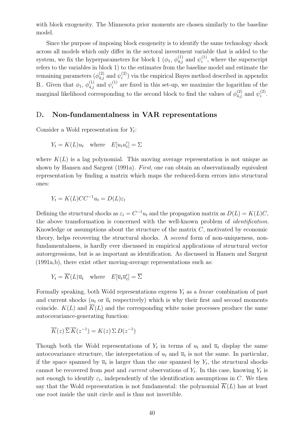with block exogeneity. The Minnesota prior moments are chosen similarly to the baseline model.

Since the purpose of imposing block exogeneity is to identify the same technology shock across all models which only differ in the sectoral investment variable that is added to the system, we fix the hyperparameters for block 1  $(\phi_1, \phi_{4,j}^{(1)}$  and  $\psi_i^{(1)}$  $i^{(1)}$ , where the superscript refers to the variables in block 1) to the estimates from the baseline model and estimate the remaining parameters  $(\phi_{4,j}^{(2)}$  and  $\psi_i^{(2)}$  $i^{(2)}$ ) via the empirical Bayes method described in appendix [B..](#page-41-0) Given that  $\phi_1$ ,  $\phi_{4,j}^{(1)}$  and  $\psi_i^{(1)}$  $i^{(1)}$  are fixed in this set-up, we maximize the logarithm of the marginal likelihood corresponding to the second block to find the values of  $\phi_{4,j}^{(2)}$  and  $\psi_i^{(2)}$  $i^{(2)}$ .

#### D. Non-fundamentalness in VAR representations

Consider a Wold representation for  $Y_t$ :

$$
Y_t = K(L)u_t \quad \text{where} \quad E[u_t u_t'] = \Sigma
$$

where  $K(L)$  is a lag polynomial. This moving average representation is not unique as shown by [Hansen and Sargent](#page-52-13) [\(1991a\)](#page-52-13). *First*, one can obtain an observationally equivalent representation by finding a matrix which maps the reduced-form errors into structural ones:

$$
Y_t = K(L)CC^{-1}u_t = D(L)\varepsilon_t
$$

Defining the structural shocks as  $\varepsilon_t = C^{-1}u_t$  and the propagation matrix as  $D(L) = K(L)C$ , the above transformation is concerned with the well-known problem of identification. Knowledge or assumptions about the structure of the matrix  $C$ , motivated by economic theory, helps recovering the structural shocks. A second form of non-uniqueness, nonfundamentalness, is hardly ever discussed in empirical applications of structural vector autoregressions, but is as important as identification. As discussed in [Hansen and Sargent](#page-52-13) [\(1991a,](#page-52-13)[b\)](#page-52-14), there exist other moving-average representations such as:

$$
Y_t = \overline{K}(L)\overline{u}_t \quad \text{where} \quad E[\overline{u}_t \overline{u}'_t] = \overline{\Sigma}
$$

Formally speaking, both Wold representations express  $Y_t$  as a *linear* combination of past and current shocks ( $u_t$  or  $\overline{u}_t$  respectively) which is why their first and second moments coincide.  $K(L)$  and  $K(L)$  and the corresponding white noise processes produce the same autocovariance-generating function:

$$
\overline{K}(z)\,\overline{\Sigma}\,\overline{K}(z^{-1})=K(z)\,\Sigma\,D(z^{-1})
$$

Though both the Wold representations of  $Y_t$  in terms of  $u_t$  and  $\overline{u}_t$  display the same autocovariance structure, the interpretation of  $u_t$  and  $\overline{u}_t$  is not the same. In particular, if the space spanned by  $\overline{u}_t$  is larger than the one spanned by  $Y_t$ , the structural shocks cannot be recovered from *past* and *current* observations of  $Y_t$ . In this case, knowing  $Y_t$  is not enough to identify  $\varepsilon_t$ , independently of the identification assumptions in C. We then say that the Wold representation is not fundamental: the polynomial  $\overline{K}(L)$  has at least one root inside the unit circle and is thus not invertible.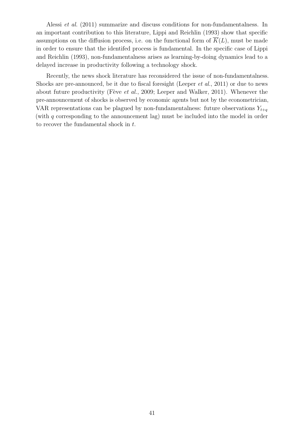[Alessi](#page-50-14) et al. [\(2011\)](#page-50-14) summarize and discuss conditions for non-fundamentalness. In an important contribution to this literature, [Lippi and Reichlin](#page-53-6) [\(1993\)](#page-53-6) show that specific assumptions on the diffusion process, i.e. on the functional form of  $\overline{K}(L)$ , must be made in order to ensure that the identifed process is fundamental. In the specific case of [Lippi](#page-53-6) [and Reichlin](#page-53-6) [\(1993\)](#page-53-6), non-fundamentalness arises as learning-by-doing dynamics lead to a delayed increase in productivity following a technology shock.

Recently, the news shock literature has reconsidered the issue of non-fundamentalness. Shocks are pre-announced, be it due to fiscal foresight [\(Leeper](#page-53-7) et al., [2011\)](#page-53-7) or due to news about future productivity (Fève [et al.](#page-51-15), [2009;](#page-51-15) [Leeper and Walker,](#page-53-14) [2011\)](#page-53-14). Whenever the pre-announcement of shocks is observed by economic agents but not by the econometrician, VAR representations can be plagued by non-fundamentalness: future observations  $Y_{t+q}$ (with q corresponding to the announcement lag) must be included into the model in order to recover the fundamental shock in t.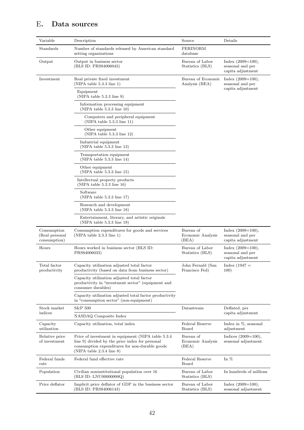## E. Data sources

| Variable                                      | Description                                                                                                                                                                                | Source                                  | Details                                                       |  |
|-----------------------------------------------|--------------------------------------------------------------------------------------------------------------------------------------------------------------------------------------------|-----------------------------------------|---------------------------------------------------------------|--|
| Standards                                     | Number of standards released by American standard<br>setting organizations                                                                                                                 | PERINORM<br>database                    |                                                               |  |
| Output                                        | Output in business sector<br>(BLS ID: PRS84006043)                                                                                                                                         | Bureau of Labor<br>Statistics (BLS)     | Index $(2009=100)$ ,<br>seasonal and per<br>capita adjustment |  |
| Investment                                    | Real private fixed investment<br>(NIPA table $5.3.3$ line 1)                                                                                                                               | Bureau of Economic<br>Analysis (BEA)    | Index $(2009=100)$ ,<br>seasonal and per                      |  |
|                                               | Equipment<br>(NIPA table $5.3.3$ line $9$ )                                                                                                                                                |                                         | capita adjustment                                             |  |
|                                               | Information processing equipment<br>(NIPA table $5.3.3$ line $10$ )                                                                                                                        |                                         |                                                               |  |
|                                               | Computers and peripheral equipment<br>(NIPA table $5.3.3$ line $11$ )                                                                                                                      |                                         |                                                               |  |
|                                               | Other equipment<br>(NIPA table $5.3.3$ line $12$ )                                                                                                                                         |                                         |                                                               |  |
|                                               | Industrial equipment<br>(NIPA table $5.3.3$ line $13$ )                                                                                                                                    |                                         |                                                               |  |
|                                               | Transportation equipment<br>(NIPA table $5.3.3$ line $14$ )                                                                                                                                |                                         |                                                               |  |
|                                               | Other equipment<br>(NIPA table $5.3.3$ line $15$ )                                                                                                                                         |                                         |                                                               |  |
|                                               | Intellectual property products<br>(NIPA table $5.3.3$ line $16$ )                                                                                                                          |                                         |                                                               |  |
|                                               | Software<br>(NIPA table 5.3.3 line 17)                                                                                                                                                     |                                         |                                                               |  |
|                                               | Research and development<br>(NIPA table $5.3.3$ line $18$ )                                                                                                                                |                                         |                                                               |  |
|                                               | Entertainment, literary, and artistic originals<br>(NIPA table $5.3.3$ line $19$ )                                                                                                         |                                         |                                                               |  |
| Consumption<br>(Real personal<br>consumption) | Consumption expenditures for goods and services<br>(NIPA table $2.3.3$ line 1)                                                                                                             | Bureau of<br>Economic Analysis<br>(BEA) | Index $(2009=100)$ ,<br>seasonal and per<br>capita adjustment |  |
| Hours                                         | Hours worked in business sector (BLS ID:<br>PRS84006033)                                                                                                                                   | Bureau of Labor<br>Statistics (BLS)     | Index $(2009=100)$ ,<br>seasonal and per<br>capita adjustment |  |
| Total factor<br>productivity                  | Capacity utilization adjusted total factor<br>productivity (based on data from business sector)                                                                                            | John Fernald (San<br>Francisco Fed)     | Index $(1947 =$<br>100)                                       |  |
|                                               | Capacity utilization adjusted total factor<br>productivity in "investment sector" (equipment and<br>consumer durables)                                                                     |                                         |                                                               |  |
|                                               | Capacity utilization adjusted total factor productivity<br>in "consumption sector" (non-equipment)                                                                                         |                                         |                                                               |  |
| Stock market                                  | S&P 500                                                                                                                                                                                    | Datastream                              | Deflated, per                                                 |  |
| indices                                       | NASDAQ Composite Index                                                                                                                                                                     |                                         | capita adjustment                                             |  |
| Capacity<br>utilization                       | Capacity utilization, total index                                                                                                                                                          | Federal Reserve<br>Board                | Index in %, seasonal<br>adjustment                            |  |
| Relative price<br>of investment               | Price of investment in equipment (NIPA table 5.3.4)<br>line 9) divided by the price index for personal<br>consumption expenditures for non-durable goods<br>(NIPA table $2.3.4$ line $8$ ) | Bureau of<br>Economic Analysis<br>(BEA) | Indices $(2009=100)$ ,<br>seasonal adjustment                 |  |
| Federal funds<br>rate                         | Federal fund effective rate                                                                                                                                                                | Federal Reserve<br>Board                | In $%$                                                        |  |
| Population                                    | Civilian noninstitutional population over 16<br>(BLS ID: LNU00000000Q)                                                                                                                     | Bureau of Labor<br>Statistics (BLS)     | In hundreds of millions                                       |  |
| Price deflator                                | Implicit price deflator of GDP in the business sector<br>(BLS ID: PRS84006143)                                                                                                             | Bureau of Labor<br>Statistics (BLS)     | Index $(2009=100)$ ,<br>seasonal adjustment                   |  |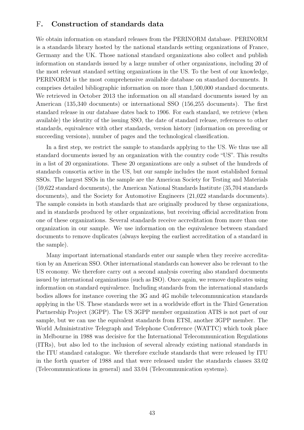### F. Construction of standards data

We obtain information on standard releases from the PERINORM database. PERINORM is a standards library hosted by the national standards setting organizations of France, Germany and the UK. Those national standard organizations also collect and publish information on standards issued by a large number of other organizations, including 20 of the most relevant standard setting organizations in the US. To the best of our knowledge, PERINORM is the most comprehensive available database on standard documents. It comprises detailed bibliographic information on more than 1,500,000 standard documents. We retrieved in October 2013 the information on all standard documents issued by an American (135,340 documents) or international SSO (156,255 documents). The first standard release in our database dates back to 1906. For each standard, we retrieve (when available) the identity of the issuing SSO, the date of standard release, references to other standards, equivalence with other standards, version history (information on preceding or succeeding versions), number of pages and the technological classification.

In a first step, we restrict the sample to standards applying to the US. We thus use all standard documents issued by an organization with the country code "US". This results in a list of 20 organizations. These 20 organizations are only a subset of the hundreds of standards consortia active in the US, but our sample includes the most established formal SSOs. The largest SSOs in the sample are the American Society for Testing and Materials (59,622 standard documents), the American National Standards Institute (35,704 standards documents), and the Society for Automotive Engineers (21,022 standards documents). The sample consists in both standards that are originally produced by these organizations, and in standards produced by other organizations, but receiving official accreditation from one of these organizations. Several standards receive accreditation from more than one organization in our sample. We use information on the equivalence between standard documents to remove duplicates (always keeping the earliest accreditation of a standard in the sample).

Many important international standards enter our sample when they receive accreditation by an American SSO. Other international standards can however also be relevant to the US economy. We therefore carry out a second analysis covering also standard documents issued by international organizations (such as ISO). Once again, we remove duplicates using information on standard equivalence. Including standards from the international standards bodies allows for instance covering the 3G and 4G mobile telecommunication standards applying in the US. These standards were set in a worldwide effort in the Third Generation Partnership Project (3GPP). The US 3GPP member organization ATIS is not part of our sample, but we can use the equivalent standards from ETSI, another 3GPP member. The World Administrative Telegraph and Telephone Conference (WATTC) which took place in Melbourne in 1988 was decisive for the International Telecommunication Regulations (ITRs), but also led to the inclusion of several already existing national standards in the ITU standard catalogue. We therefore exclude standards that were released by ITU in the forth quarter of 1988 and that were released under the standards classes 33.02 (Telecommunications in general) and 33.04 (Telecommunication systems).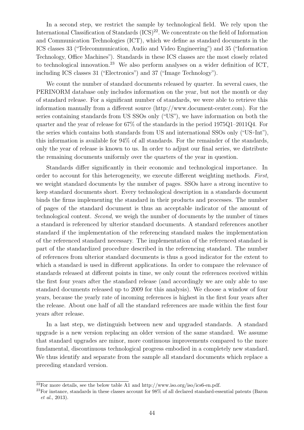In a second step, we restrict the sample by technological field. We rely upon the International Classification of Standards  $(ICS)^{22}$  $(ICS)^{22}$  $(ICS)^{22}$ . We concentrate on the field of Information and Communication Technologies (ICT), which we define as standard documents in the ICS classes 33 ("Telecommunication, Audio and Video Engineering") and 35 ("Information Technology, Office Machines"). Standards in these ICS classes are the most closely related to technological innovation.<sup>[23](#page-48-1)</sup> We also perform analyses on a wider definition of ICT, including ICS classes 31 ("Electronics") and 37 ("Image Technology").

We count the number of standard documents released by quarter. In several cases, the PERINORM database only includes information on the year, but not the month or day of standard release. For a significant number of standards, we were able to retrieve this information manually from a different source [\(http://www.document-center.com\)](http://www.document-center.com). For the series containing standards from US SSOs only ("US"), we have information on both the quarter and the year of release for 67% of the standards in the period 1975Q1–2011Q4. For the series which contains both standards from US and international SSOs only ("US+Int"), this information is available for 94% of all standards. For the remainder of the standards, only the year of release is known to us. In order to adjust our final series, we distribute the remaining documents uniformly over the quarters of the year in question.

Standards differ significantly in their economic and technological importance. In order to account for this heterogeneity, we execute different weighting methods. First, we weight standard documents by the number of pages. SSOs have a strong incentive to keep standard documents short. Every technological description in a standards document binds the firms implementing the standard in their products and processes. The number of pages of the standard document is thus an acceptable indicator of the amount of technological content. Second, we weigh the number of documents by the number of times a standard is referenced by ulterior standard documents. A standard references another standard if the implementation of the referencing standard makes the implementation of the referenced standard necessary. The implementation of the referenced standard is part of the standardized procedure described in the referencing standard. The number of references from ulterior standard documents is thus a good indicator for the extent to which a standard is used in different applications. In order to compare the relevance of standards released at different points in time, we only count the references received within the first four years after the standard release (and accordingly we are only able to use standard documents released up to 2009 for this analysis). We choose a window of four years, because the yearly rate of incoming references is highest in the first four years after the release. About one half of all the standard references are made within the first four years after release.

In a last step, we distinguish between new and upgraded standards. A standard upgrade is a new version replacing an older version of the same standard. We assume that standard upgrades are minor, more continuous improvements compared to the more fundamental, discontinuous technological progress embodied in a completely new standard. We thus identify and separate from the sample all standard documents which replace a preceding standard version.

<span id="page-48-0"></span><sup>&</sup>lt;sup>22</sup>For more details, see the below table [A1](#page-49-0) and [http://www.iso.org/iso/ics6-en.pdf.](http://www.iso.org/iso/ics6-en.pdf)

<span id="page-48-1"></span><sup>23</sup>For instance, standards in these classes account for 98% of all declared standard-essential patents [\(Baron](#page-50-12) [et al.](#page-50-12), [2013\)](#page-50-12).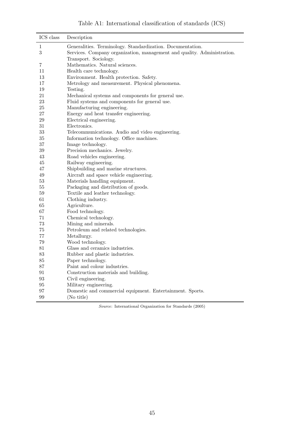Table A1: International classification of standards (ICS)

<span id="page-49-0"></span>

| ICS class   | Description                                                             |
|-------------|-------------------------------------------------------------------------|
| $\mathbf 1$ | Generalities. Terminology. Standardization. Documentation.              |
| 3           | Services. Company organization, management and quality. Administration. |
|             | Transport. Sociology.                                                   |
| 7           | Mathematics. Natural sciences.                                          |
| 11          | Health care technology.                                                 |
| 13          | Environment. Health protection. Safety.                                 |
| 17          | Metrology and measurement. Physical phenomena.                          |
| 19          | Testing.                                                                |
| 21          | Mechanical systems and components for general use.                      |
| 23          | Fluid systems and components for general use.                           |
| 25          | Manufacturing engineering.                                              |
| 27          | Energy and heat transfer engineering.                                   |
| 29          | Electrical engineering.                                                 |
| 31          | Electronics.                                                            |
| 33          | Telecommunications. Audio and video engineering.                        |
| 35          | Information technology. Office machines.                                |
| 37          | Image technology.                                                       |
| 39          | Precision mechanics. Jewelry.                                           |
| 43          | Road vehicles engineering.                                              |
| 45          | Railway engineering.                                                    |
| 47          | Shipbuilding and marine structures.                                     |
| 49          | Aircraft and space vehicle engineering.                                 |
| 53          | Materials handling equipment.                                           |
| $55\,$      | Packaging and distribution of goods.                                    |
| $59\,$      | Textile and leather technology.                                         |
| 61          | Clothing industry.                                                      |
| 65          | Agriculture.                                                            |
| 67          | Food technology.                                                        |
| 71          | Chemical technology.                                                    |
| 73          | Mining and minerals.                                                    |
| 75          | Petroleum and related technologies.                                     |
| 77          | Metallurgy.                                                             |
| 79          | Wood technology.                                                        |
| 81          | Glass and ceramics industries.                                          |
| 83          | Rubber and plastic industries.                                          |
| 85          | Paper technology.                                                       |
| 87          | Paint and colour industries.                                            |
| 91          | Construction materials and building.                                    |
| 93          | Civil engineering.                                                      |
| 95          | Military engineering.                                                   |
| 97          | Domestic and commercial equipment. Entertainment. Sports.               |
| 99          | (No title)                                                              |

Source: [International Organization for Standards](#page-53-15) [\(2005\)](#page-53-15)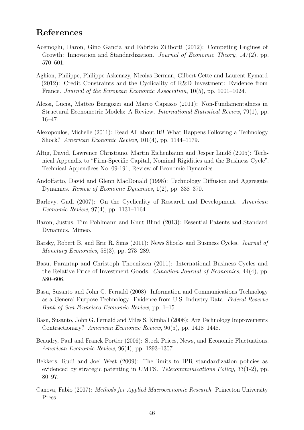## References

- <span id="page-50-1"></span>Acemoglu, Daron, Gino Gancia and Fabrizio Zilibotti (2012): Competing Engines of Growth: Innovation and Standardization. *Journal of Economic Theory*, 147(2), pp. 570–601.
- <span id="page-50-9"></span>Aghion, Philippe, Philippe Askenazy, Nicolas Berman, Gilbert Cette and Laurent Eymard (2012): Credit Constraints and the Cyclicality of R&D Investment: Evidence from France. Journal of the European Economic Association, 10(5), pp. 1001–1024.
- <span id="page-50-14"></span>Alessi, Lucia, Matteo Barigozzi and Marco Capasso (2011): Non-Fundamentalness in Structural Econometric Models: A Review. International Statistical Review, 79(1), pp. 16–47.
- <span id="page-50-4"></span>Alexopoulos, Michelle (2011): Read All about It!! What Happens Following a Technology Shock? American Economic Review, 101(4), pp. 1144–1179.
- <span id="page-50-13"></span>Altig, David, Lawrence Christiano, Martin Eichenbaum and Jesper Lindé (2005): Technical Appendix to "Firm-Specific Capital, Nominal Rigidities and the Business Cycle". Technical Appendices No. 09-191, Review of Economic Dynamics.
- <span id="page-50-10"></span>Andolfatto, David and Glenn MacDonald (1998): Technology Diffusion and Aggregate Dynamics. Review of Economic Dynamics, 1(2), pp. 338–370.
- <span id="page-50-6"></span>Barlevy, Gadi (2007): On the Cyclicality of Research and Development. American Economic Review, 97(4), pp. 1131–1164.
- <span id="page-50-12"></span>Baron, Justus, Tim Pohlmann and Knut Blind (2013): Essential Patents and Standard Dynamics. Mimeo.
- <span id="page-50-8"></span>Barsky, Robert B. and Eric R. Sims (2011): News Shocks and Business Cycles. Journal of Monetary Economics, 58(3), pp. 273–289.
- <span id="page-50-11"></span>Basu, Parantap and Christoph Thoenissen (2011): International Business Cycles and the Relative Price of Investment Goods. Canadian Journal of Economics, 44(4), pp. 580–606.
- <span id="page-50-0"></span>Basu, Susanto and John G. Fernald (2008): Information and Communications Technology as a General Purpose Technology: Evidence from U.S. Industry Data. Federal Reserve Bank of San Francisco Economic Review, pp. 1–15.
- <span id="page-50-3"></span>Basu, Susanto, John G. Fernald and Miles S. Kimball (2006): Are Technology Improvements Contractionary? American Economic Review, 96(5), pp. 1418–1448.
- <span id="page-50-2"></span>Beaudry, Paul and Franck Portier (2006): Stock Prices, News, and Economic Fluctuations. American Economic Review, 96(4), pp. 1293–1307.
- <span id="page-50-5"></span>Bekkers, Rudi and Joel West (2009): The limits to IPR standardization policies as evidenced by strategic patenting in UMTS. Telecommunications Policy, 33(1-2), pp. 80–97.
- <span id="page-50-7"></span>Canova, Fabio (2007): Methods for Applied Macroeconomic Research. Princeton University Press.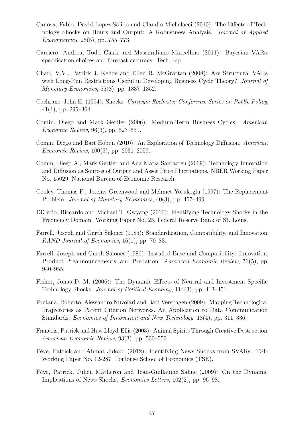- <span id="page-51-4"></span>Canova, Fabio, David Lopez-Salido and Claudio Michelacci (2010): The Effects of Technology Shocks on Hours and Output: A Robustness Analysis. Journal of Applied Econometrics, 25(5), pp. 755–773.
- <span id="page-51-7"></span>Carriero, Andrea, Todd Clark and Massimiliano Marcellino (2011): Bayesian VARs: specification choices and forecast accuracy. Tech. rep.
- <span id="page-51-5"></span>Chari, V.V., Patrick J. Kehoe and Ellen R. McGrattan (2008): Are Structural VARs with Long-Run Restrictions Useful in Developing Business Cycle Theory? Journal of Monetary Economics, 55(8), pp. 1337–1352.
- <span id="page-51-13"></span>Cochrane, John H. (1994): Shocks. Carnegie-Rochester Conference Series on Public Policy,  $41(1)$ , pp. 295–364.
- <span id="page-51-11"></span>Comin, Diego and Mark Gertler (2006): Medium-Term Business Cycles. American Economic Review, 96(3), pp. 523–551.
- <span id="page-51-9"></span>Comin, Diego and Bart Hobijn (2010): An Exploration of Technology Diffusion. American Economic Review, 100(5), pp. 2031–2059.
- <span id="page-51-12"></span>Comin, Diego A., Mark Gertler and Ana Maria Santacreu (2009): Technology Innovation and Diffusion as Sources of Output and Asset Price Fluctuations. NBER Working Paper No. 15029, National Bureau of Economic Research.
- <span id="page-51-0"></span>Cooley, Thomas F., Jeremy Greenwood and Mehmet Yorukoglu (1997): The Replacement Problem. Journal of Monetary Economics, 40(3), pp. 457–499.
- <span id="page-51-14"></span>DiCecio, Riccardo and Michael T. Owyang (2010): Identifying Technology Shocks in the Frequency Domain. Working Paper No. 25, Federal Reserve Bank of St. Louis.
- <span id="page-51-2"></span>Farrell, Joseph and Garth Saloner (1985): Standardization, Compatibility, and Innovation. RAND Journal of Economics, 16(1), pp. 70–83.
- <span id="page-51-10"></span>Farrell, Joseph and Garth Saloner (1986): Installed Base and Compatibility: Innovation, Product Preannouncements, and Predation. American Economic Review, 76(5), pp. 940–955.
- <span id="page-51-1"></span>Fisher, Jonas D. M. (2006): The Dynamic Effects of Neutral and Investment-Specific Technology Shocks. Journal of Political Economy, 114(3), pp. 413–451.
- <span id="page-51-3"></span>Fontana, Roberto, Alessandro Nuvolari and Bart Verspagen (2009): Mapping Technological Trajectories as Patent Citation Networks. An Application to Data Communication Standards. Economics of Innovation and New Technology, 18(4), pp. 311–336.
- <span id="page-51-8"></span>Francois, Patrick and Huw Lloyd-Ellis (2003): Animal Spirits Through Creative Destruction. American Economic Review, 93(3), pp. 530–550.
- <span id="page-51-6"></span>Fève, Patrick and Ahmat Jidoud (2012): Identifying News Shocks from SVARs. TSE Working Paper No. 12-287, Toulouse School of Economics (TSE).
- <span id="page-51-15"></span>Fève, Patrick, Julien Matheron and Jean-Guillaume Sahuc (2009): On the Dynamic Implications of News Shocks. Economics Letters, 102(2), pp. 96–98.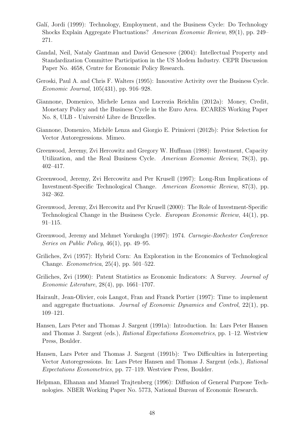- <span id="page-52-3"></span>Galí, Jordi (1999): Technology, Employment, and the Business Cycle: Do Technology Shocks Explain Aggregate Fluctuations? American Economic Review, 89(1), pp. 249– 271.
- <span id="page-52-5"></span>Gandal, Neil, Nataly Gantman and David Genesove (2004): Intellectual Property and Standardization Committee Participation in the US Modem Industry. CEPR Discussion Paper No. 4658, Centre for Economic Policy Research.
- <span id="page-52-9"></span>Geroski, Paul A. and Chris F. Walters (1995): Innovative Activity over the Business Cycle. Economic Journal, 105(431), pp. 916–928.
- <span id="page-52-8"></span>Giannone, Domenico, Michele Lenza and Lucrezia Reichlin (2012a): Money, Credit, Monetary Policy and the Business Cycle in the Euro Area. ECARES Working Paper No. 8, ULB - Université Libre de Bruxelles.
- <span id="page-52-7"></span>Giannone, Domenico, Mich`ele Lenza and Giorgio E. Primiceri (2012b): Prior Selection for Vector Autoregressions. Mimeo.
- <span id="page-52-0"></span>Greenwood, Jeremy, Zvi Hercowitz and Gregory W. Huffman (1988): Investment, Capacity Utilization, and the Real Business Cycle. American Economic Review, 78(3), pp. 402–417.
- <span id="page-52-1"></span>Greenwood, Jeremy, Zvi Hercowitz and Per Krusell (1997): Long-Run Implications of Investment-Specific Technological Change. American Economic Review, 87(3), pp. 342–362.
- <span id="page-52-2"></span>Greenwood, Jeremy, Zvi Hercowitz and Per Krusell (2000): The Role of Investment-Specific Technological Change in the Business Cycle. European Economic Review, 44(1), pp. 91–115.
- <span id="page-52-11"></span>Greenwood, Jeremy and Mehmet Yorukoglu (1997): 1974. Carnegie-Rochester Conference Series on Public Policy, 46(1), pp. 49–95.
- <span id="page-52-10"></span>Griliches, Zvi (1957): Hybrid Corn: An Exploration in the Economics of Technological Change. Econometrica, 25(4), pp. 501–522.
- <span id="page-52-6"></span>Griliches, Zvi (1990): Patent Statistics as Economic Indicators: A Survey. Journal of Economic Literature,  $28(4)$ , pp. 1661–1707.
- <span id="page-52-12"></span>Hairault, Jean-Olivier, cois Langot, Fran and Franck Portier (1997): Time to implement and aggregate fluctuations. Journal of Economic Dynamics and Control, 22(1), pp. 109–121.
- <span id="page-52-13"></span>Hansen, Lars Peter and Thomas J. Sargent (1991a): Introduction. In: Lars Peter Hansen and Thomas J. Sargent (eds.), Rational Expectations Econometrics, pp. 1–12. Westview Press, Boulder.
- <span id="page-52-14"></span>Hansen, Lars Peter and Thomas J. Sargent (1991b): Two Difficulties in Interpreting Vector Autoregressions. In: Lars Peter Hansen and Thomas J. Sargent (eds.), Rational Expectations Econometrics, pp. 77–119. Westview Press, Boulder.
- <span id="page-52-4"></span>Helpman, Elhanan and Manuel Trajtenberg (1996): Diffusion of General Purpose Technologies. NBER Working Paper No. 5773, National Bureau of Economic Research.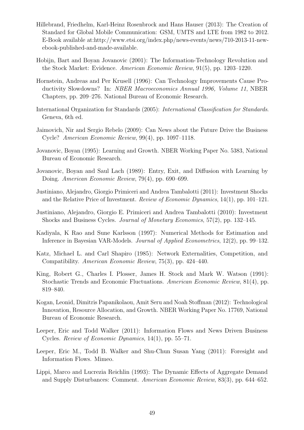- <span id="page-53-5"></span>Hillebrand, Friedhelm, Karl-Heinz Rosenbrock and Hans Hauser (2013): The Creation of Standard for Global Mobile Communication: GSM, UMTS and LTE from 1982 to 2012. E-Book available at[:http://www.etsi.org/index.php/news-events/news/710-2013-11-new](http://www.etsi.org/index.php/news-events/news/710-2013-11-new-ebook-published-and-made-available)[ebook-published-and-made-available.](http://www.etsi.org/index.php/news-events/news/710-2013-11-new-ebook-published-and-made-available)
- <span id="page-53-13"></span>Hobijn, Bart and Boyan Jovanovic (2001): The Information-Technology Revolution and the Stock Market: Evidence. American Economic Review, 91(5), pp. 1203–1220.
- <span id="page-53-11"></span>Hornstein, Andreas and Per Krusell (1996): Can Technology Improvements Cause Productivity Slowdowns? In: NBER Macroeconomics Annual 1996, Volume 11, NBER Chapters, pp. 209–276. National Bureau of Economic Research.
- <span id="page-53-15"></span>International Organization for Standards (2005): International Classification for Standards. Geneva, 6th ed.
- <span id="page-53-0"></span>Jaimovich, Nir and Sergio Rebelo (2009): Can News about the Future Drive the Business Cycle? American Economic Review, 99(4), pp. 1097–1118.
- <span id="page-53-9"></span>Jovanovic, Boyan (1995): Learning and Growth. NBER Working Paper No. 5383, National Bureau of Economic Research.
- <span id="page-53-10"></span>Jovanovic, Boyan and Saul Lach (1989): Entry, Exit, and Diffusion with Learning by Doing. American Economic Review, 79(4), pp. 690–699.
- <span id="page-53-12"></span>Justiniano, Alejandro, Giorgio Primiceri and Andrea Tambalotti (2011): Investment Shocks and the Relative Price of Investment. Review of Economic Dynamics, 14(1), pp. 101–121.
- <span id="page-53-1"></span>Justiniano, Alejandro, Giorgio E. Primiceri and Andrea Tambalotti (2010): Investment Shocks and Business Cycles. Journal of Monetary Economics, 57(2), pp. 132–145.
- <span id="page-53-8"></span>Kadiyala, K Rao and Sune Karlsson (1997): Numerical Methods for Estimation and Inference in Bayesian VAR-Models. Journal of Applied Econometrics, 12(2), pp. 99–132.
- <span id="page-53-4"></span>Katz, Michael L. and Carl Shapiro (1985): Network Externalities, Competition, and Compatibility. American Economic Review, 75(3), pp. 424–440.
- <span id="page-53-2"></span>King, Robert G., Charles I. Plosser, James H. Stock and Mark W. Watson (1991): Stochastic Trends and Economic Fluctuations. American Economic Review, 81(4), pp. 819–840.
- <span id="page-53-3"></span>Kogan, Leonid, Dimitris Papanikolaou, Amit Seru and Noah Stoffman (2012): Technological Innovation, Resource Allocation, and Growth. NBER Working Paper No. 17769, National Bureau of Economic Research.
- <span id="page-53-14"></span>Leeper, Eric and Todd Walker (2011): Information Flows and News Driven Business Cycles. Review of Economic Dynamics, 14(1), pp. 55–71.
- <span id="page-53-7"></span>Leeper, Eric M., Todd B. Walker and Shu-Chun Susan Yang (2011): Foresight and Information Flows. Mimeo.
- <span id="page-53-6"></span>Lippi, Marco and Lucrezia Reichlin (1993): The Dynamic Effects of Aggregate Demand and Supply Disturbances: Comment. American Economic Review, 83(3), pp. 644–652.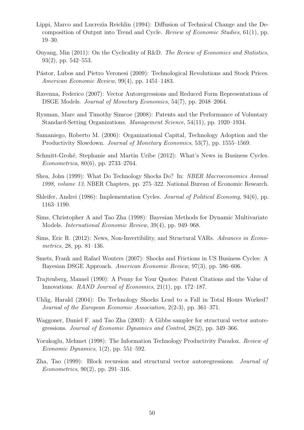- <span id="page-54-9"></span>Lippi, Marco and Lucrezia Reichlin (1994): Diffusion of Technical Change and the Decomposition of Output into Trend and Cycle. Review of Economic Studies, 61(1), pp. 19–30.
- <span id="page-54-3"></span>Ouyang, Min (2011): On the Cyclicality of R&D. The Review of Economics and Statistics, 93(2), pp. 542–553.
- <span id="page-54-13"></span>Pástor, Lubos and Pietro Veronesi (2009): Technological Revolutions and Stock Prices. American Economic Review, 99(4), pp. 1451–1483.
- <span id="page-54-4"></span>Ravenna, Federico (2007): Vector Autoregressions and Reduced Form Representations of DSGE Models. Journal of Monetary Economics, 54(7), pp. 2048–2064.
- <span id="page-54-2"></span>Rysman, Marc and Timothy Simcoe (2008): Patents and the Performance of Voluntary Standard-Setting Organizations. Management Science, 54(11), pp. 1920–1934.
- <span id="page-54-11"></span>Samaniego, Roberto M. (2006): Organizational Capital, Technology Adoption and the Productivity Slowdown. Journal of Monetary Economics, 53(7), pp. 1555–1569.
- <span id="page-54-0"></span>Schmitt-Grohé, Stephanie and Martin Uribe (2012): What's News in Business Cycles. Econometrica, 80(6), pp. 2733–2764.
- <span id="page-54-1"></span>Shea, John (1999): What Do Technology Shocks Do? In: NBER Macroeconomics Annual 1998, volume 13, NBER Chapters, pp. 275–322. National Bureau of Economic Research.
- <span id="page-54-8"></span>Shleifer, Andrei (1986): Implementation Cycles. *Journal of Political Economy*, 94(6), pp. 1163–1190.
- <span id="page-54-6"></span>Sims, Christopher A and Tao Zha (1998): Bayesian Methods for Dynamic Multivariate Models. International Economic Review, 39(4), pp. 949–968.
- <span id="page-54-5"></span>Sims, Eric R. (2012): News, Non-Invertibility, and Structural VARs. Advances in Econometrics, 28, pp. 81–136.
- <span id="page-54-12"></span>Smets, Frank and Rafael Wouters (2007): Shocks and Frictions in US Business Cycles: A Bayesian DSGE Approach. American Economic Review, 97(3), pp. 586–606.
- <span id="page-54-14"></span>Trajtenberg, Manuel (1990): A Penny for Your Quotes: Patent Citations and the Value of Innovations. RAND Journal of Economics, 21(1), pp. 172–187.
- <span id="page-54-7"></span>Uhlig, Harald (2004): Do Technology Shocks Lead to a Fall in Total Hours Worked? Journal of the European Economic Association, 2(2-3), pp. 361–371.
- <span id="page-54-16"></span>Waggoner, Daniel F. and Tao Zha (2003): A Gibbs sampler for structural vector autoregressions. Journal of Economic Dynamics and Control, 28(2), pp. 349–366.
- <span id="page-54-10"></span>Yorukoglu, Mehmet (1998): The Information Technology Productivity Paradox. Review of Economic Dynamics,  $1(2)$ , pp. 551–592.
- <span id="page-54-15"></span>Zha, Tao (1999): Block recursion and structural vector autoregressions. Journal of Econometrics, 90(2), pp. 291–316.